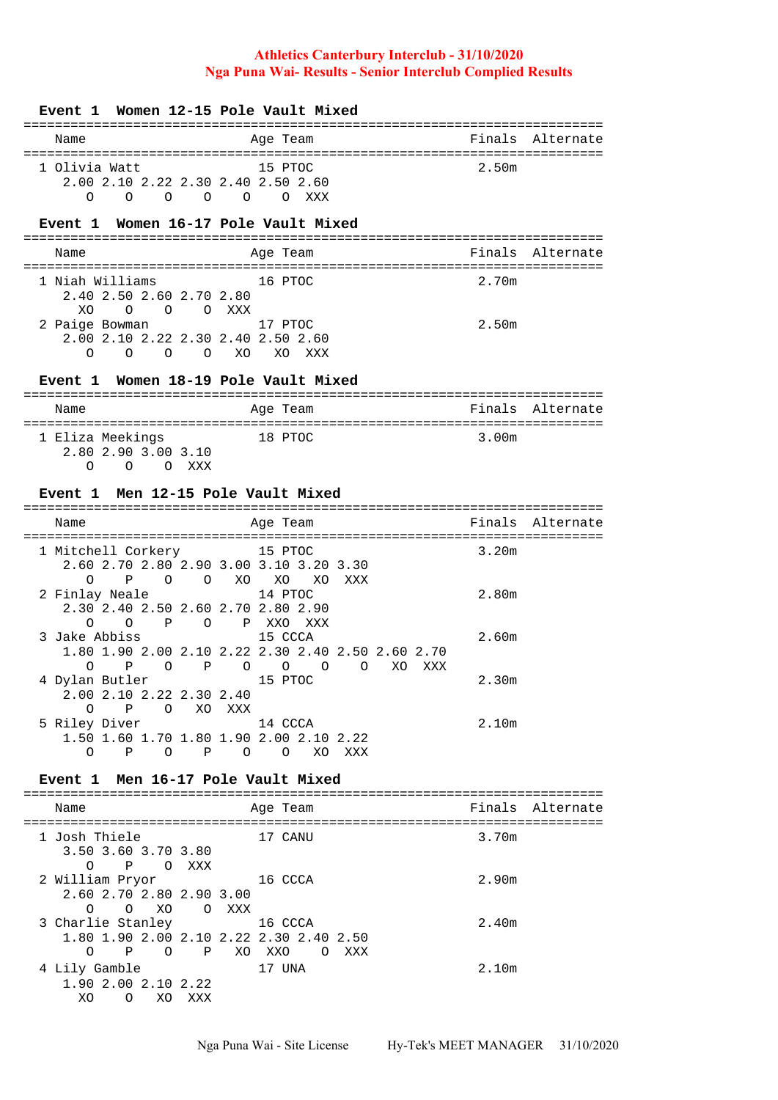### **Event 1 Women 12-15 Pole Vault Mixed**

| Name                                        | Age Team                              | Finals Alternate |  |  |  |  |
|---------------------------------------------|---------------------------------------|------------------|--|--|--|--|
|                                             |                                       |                  |  |  |  |  |
| 1 Olivia Watt                               | 15 PTOC                               | 2.50m            |  |  |  |  |
| 2.00 2.10 2.22 2.30 2.40 2.50 2.60          |                                       |                  |  |  |  |  |
| $\Omega$<br>$\cap$<br>$\Omega$<br>$\bigcap$ | xxx<br>$\bigcirc$<br>$\left( \right)$ |                  |  |  |  |  |

# **Event 1 Women 16-17 Pole Vault Mixed**

| Name                                                                | Age Team   | Finals Alternate |
|---------------------------------------------------------------------|------------|------------------|
| 1 Niah Williams                                                     | 16 PTOC    | 2.70m            |
| 2.40 2.50 2.60 2.70 2.80<br>O O O XXX<br>XO.                        |            |                  |
| 2 Paige Bowman                                                      | 17 PTOC    | 2.50m            |
| 2.00 2.10 2.22 2.30 2.40 2.50 2.60<br>XO<br>$\Omega$<br>Ω<br>∩<br>∩ | XO.<br>XXX |                  |

# **Event 1 Women 18-19 Pole Vault Mixed**

| Name                                                           |     | Age Team |       | Finals Alternate |
|----------------------------------------------------------------|-----|----------|-------|------------------|
| 1 Eliza Meekings<br>2.80 2.90 3.00 3.10<br>$\cap$<br>$\lambda$ | xxx | 18 PTOC  | 3.00m |                  |

### **Event 1 Men 12-15 Pole Vault Mixed**

| Name                                                 | Age Team                                               | Finals Alternate |
|------------------------------------------------------|--------------------------------------------------------|------------------|
| 1 Mitchell Corkery                                   | 15 PTOC                                                | 3.20m            |
|                                                      | 2.60 2.70 2.80 2.90 3.00 3.10 3.20 3.30                |                  |
| $\Omega$<br>Ρ<br>$\Omega$<br>$\Omega$                | XO<br>XO<br>XO.<br>XXX                                 |                  |
| 2 Finlay Neale                                       | 14 PTOC                                                | 2.80m            |
| 2.30 2.40 2.50 2.60 2.70 2.80 2.90                   |                                                        |                  |
| $\overline{P}$<br>∩<br>$\Omega$<br>$\overline{O}$    | P XXO<br>XXX                                           |                  |
| 3 Jake Abbiss                                        | 15 CCCA                                                | 2.60m            |
|                                                      | 1.80 1.90 2.00 2.10 2.22 2.30 2.40 2.50 2.60 2.70      |                  |
| $\Omega$<br>$\mathbb{P}$<br>$\Omega$<br>$\mathbb{P}$ | $\circ$<br>$\overline{O}$<br>$\overline{O}$<br>$\circ$ | XO<br>XXX        |
| 4 Dylan Butler                                       | 15 PTOC                                                | 2.30m            |
| 2.00 2.10 2.22 2.30 2.40                             |                                                        |                  |
| $\Omega$<br>$\mathbf P$<br>$\Omega$<br>XO.           | XXX                                                    |                  |
| 5 Riley Diver                                        | 14 CCCA                                                | 2.10m            |
|                                                      | 1.50 1.60 1.70 1.80 1.90 2.00 2.10 2.22                |                  |
| Ρ<br>Ρ<br>O<br>O                                     | XO.<br>O<br>XXX<br>$\Omega$                            |                  |

#### **Event 1 Men 16-17 Pole Vault Mixed**

| Name                                                                                      |       | Age Team                          | Finals Alternate |
|-------------------------------------------------------------------------------------------|-------|-----------------------------------|------------------|
| 1 Josh Thiele<br>3.50 3.60 3.70 3.80<br>P OXXX<br>$\Omega$                                |       | 17 CANU                           | 3.70m            |
| 2 William Pryor<br>2.60 2.70 2.80 2.90 3.00<br>XO<br>$\Omega$<br>$\Omega$                 | O XXX | 16 CCCA                           | 2.90m            |
| 3 Charlie Stanley<br>1.80 1.90 2.00 2.10 2.22 2.30 2.40 2.50<br>$\Omega$<br>$\Omega$<br>Ρ | P XO  | 16 CCCA<br>XXO<br>XXX<br>$\Omega$ | 2.40m            |
| 4 Lily Gamble<br>1.90 2.00 2.10 2.22<br>XO<br>XO.<br>∩                                    | XXX   | 17 UNA                            | 2.10m            |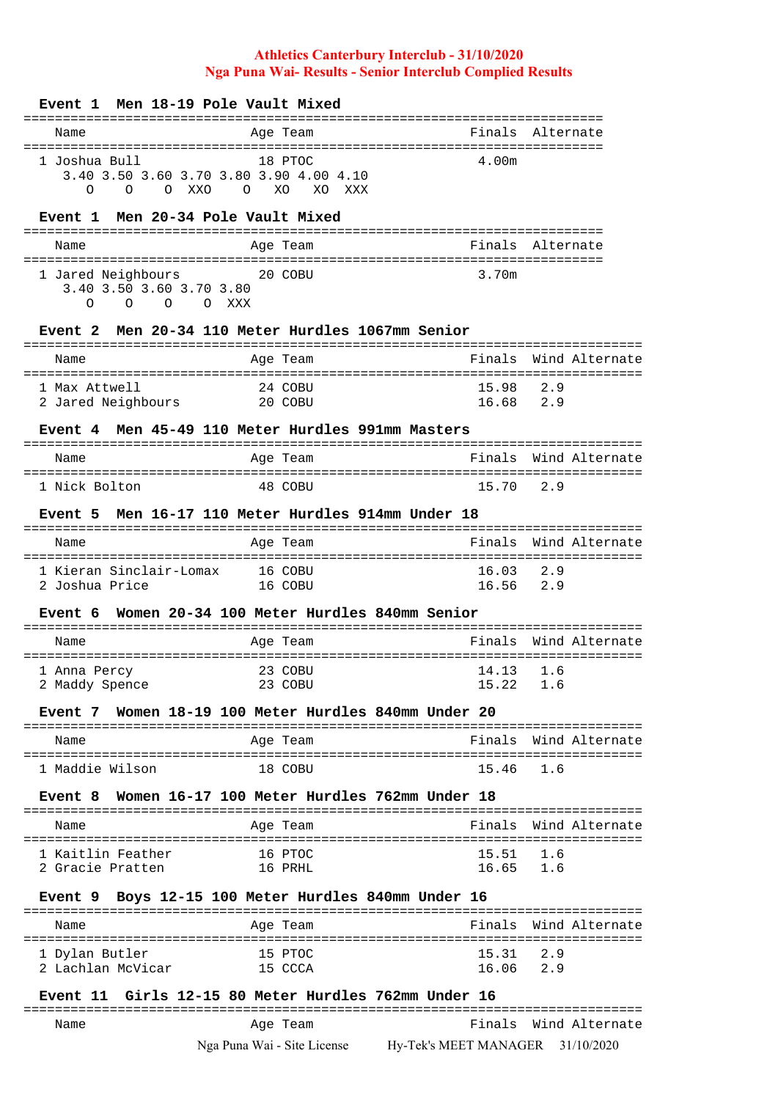| Men 18-19 Pole Vault Mixed<br>Event 1                                                                       |                                                      |                    |                                         |  |
|-------------------------------------------------------------------------------------------------------------|------------------------------------------------------|--------------------|-----------------------------------------|--|
| Name                                                                                                        | ============================<br>Age Team             |                    | Finals Alternate                        |  |
| 1 Joshua Bull<br>3.40 3.50 3.60 3.70 3.80 3.90 4.00 4.10<br>$\Omega$<br>O XXO<br>$\overline{O}$<br>$\Omega$ | 18 PTOC<br>XO<br>XO.<br>XXX                          | 4.00m              |                                         |  |
| Event 1 Men 20-34 Pole Vault Mixed                                                                          |                                                      |                    |                                         |  |
| Name                                                                                                        | Age Team                                             | Finals             | Alternate                               |  |
| 1 Jared Neighbours<br>3.40 3.50 3.60 3.70 3.80<br>O O XXX<br>$\Omega$<br>$\Omega$                           | 20 COBU                                              | 3.70m              |                                         |  |
| Event 2                                                                                                     | Men 20-34 110 Meter Hurdles 1067mm Senior            |                    |                                         |  |
| Name                                                                                                        | Age Team                                             | Finals             | Wind Alternate                          |  |
| 1 Max Attwell<br>2 Jared Neighbours                                                                         | 24 COBU<br>20 COBU                                   | 15.98<br>16.68 2.9 | 2.9                                     |  |
| Event 4                                                                                                     | Men 45-49 110 Meter Hurdles 991mm Masters            |                    |                                         |  |
| Name                                                                                                        | Age Team                                             | Finals             | Wind Alternate                          |  |
| 1 Nick Bolton                                                                                               | :===========<br>48 COBU                              | 15.70              | ==============<br>2.9                   |  |
| Event 5                                                                                                     | Men 16-17 110 Meter Hurdles 914mm Under 18           |                    |                                         |  |
| Name                                                                                                        | Age Team                                             | Finals             | Wind Alternate                          |  |
| 1 Kieran Sinclair-Lomax<br>2 Joshua Price                                                                   | 16 COBU<br>16 COBU                                   | 16.03<br>16.56 2.9 | 2.9                                     |  |
| Event 6                                                                                                     | Women 20-34 100 Meter Hurdles 840mm Senior           |                    |                                         |  |
| Name                                                                                                        | . = = = = = :<br>Age Team                            | Finals             | Wind Alternate                          |  |
| 1 Anna Percy                                                                                                | ===================<br>23 COBU                       | 14.13              | ================================<br>1.6 |  |
| 2 Maddy Spence                                                                                              | 23 COBU                                              | 15.22              |                                         |  |
|                                                                                                             | Event 7 Women 18-19 100 Meter Hurdles 840mm Under 20 |                    |                                         |  |
| Name                                                                                                        | Age Team                                             |                    | Finals Wind Alternate                   |  |
| 1 Maddie Wilson                                                                                             | 18 COBU                                              | 15.46              | 1.6                                     |  |
|                                                                                                             | Event 8 Women 16-17 100 Meter Hurdles 762mm Under 18 |                    |                                         |  |
| Name                                                                                                        | Age Team                                             |                    | Finals Wind Alternate                   |  |
| 1 Kaitlin Feather                                                                                           | 16 PTOC                                              | 15.51 1.6          |                                         |  |
| 2 Gracie Pratten                                                                                            | 16 PRHL                                              | 16.65 1.6          |                                         |  |
| Event 9 Boys 12-15 100 Meter Hurdles 840mm Under 16                                                         |                                                      |                    |                                         |  |
| Name                                                                                                        | Age Team                                             |                    | Finals Wind Alternate                   |  |
| 1 Dylan Butler                                                                                              | 15 PTOC                                              | $15.31$ $2.9$      |                                         |  |
| 2 Lachlan McVicar                                                                                           | 15 CCCA                                              | 16.06 2.9          |                                         |  |
|                                                                                                             | Event 11 Girls 12-15 80 Meter Hurdles 762mm Under 16 |                    |                                         |  |

Nga Puna Wai - Site License Hy-Tek's MEET MANAGER 31/10/2020 Name Age Team Finals Wind Alternate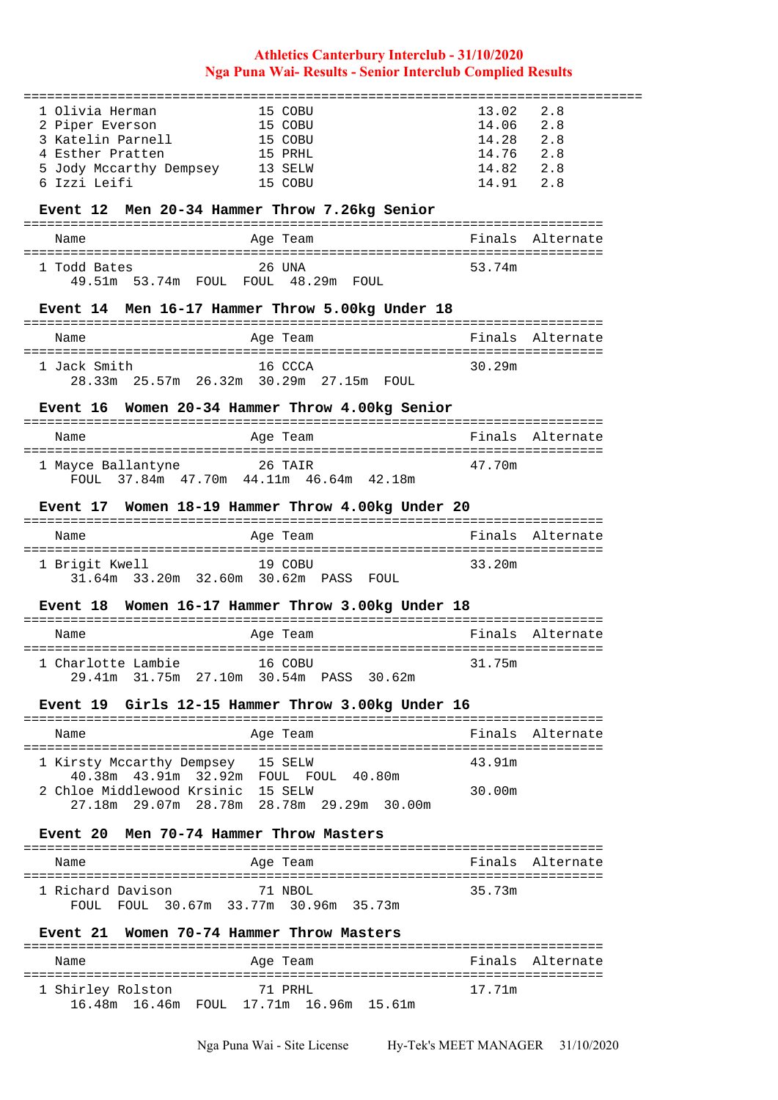| 1 Olivia Herman                               | 15 COBU                                           | 13.02<br>2.8                    |
|-----------------------------------------------|---------------------------------------------------|---------------------------------|
| 2 Piper Everson                               | 15 COBU                                           | 14.06<br>2.8                    |
| 3 Katelin Parnell                             | 15 COBU                                           | 14.28 2.8                       |
| 4 Esther Pratten                              | 15 PRHL                                           | 14.76 2.8                       |
| 5 Jody Mccarthy Dempsey 13 SELW               |                                                   | 14.82 2.8                       |
| 6 Izzi Leifi                                  | 15 COBU                                           | 14.91 2.8                       |
|                                               |                                                   |                                 |
| Event 12 Men 20-34 Hammer Throw 7.26kg Senior |                                                   |                                 |
|                                               |                                                   |                                 |
| Name                                          | Age Team                                          | Finals Alternate                |
| 1 Todd Bates                                  | 26 UNA                                            | 53.74m                          |
| 49.51m 53.74m FOUL FOUL 48.29m FOUL           |                                                   |                                 |
|                                               |                                                   |                                 |
|                                               | Event 14 Men 16-17 Hammer Throw 5.00kg Under 18   |                                 |
|                                               |                                                   |                                 |
| Name                                          | Age Team                                          | Finals Alternate                |
|                                               |                                                   |                                 |
| 1 Jack Smith                                  | 16 CCCA                                           | 30.29m                          |
|                                               | 28.33m  25.57m  26.32m  30.29m  27.15m  FOUL      |                                 |
|                                               | Event 16 Women 20-34 Hammer Throw 4.00kg Senior   |                                 |
|                                               |                                                   |                                 |
| Name                                          | Age Team                                          | Finals Alternate                |
|                                               |                                                   |                                 |
| 1 Mayce Ballantyne 26 TAIR                    |                                                   | 47.70m                          |
|                                               | FOUL 37.84m 47.70m 44.11m 46.64m 42.18m           |                                 |
|                                               |                                                   |                                 |
|                                               | Event 17 Women 18-19 Hammer Throw 4.00kg Under 20 |                                 |
| Name                                          | Age Team                                          | Finals Alternate                |
|                                               |                                                   |                                 |
| 1 Brigit Kwell                                | 19 COBU                                           | 33.20m                          |
|                                               |                                                   |                                 |
|                                               | 31.64m 33.20m 32.60m 30.62m PASS FOUL             |                                 |
|                                               |                                                   |                                 |
|                                               | Event 18 Women 16-17 Hammer Throw 3.00kg Under 18 |                                 |
|                                               |                                                   |                                 |
| Name                                          | Age Team                                          | Finals<br>Alternate             |
|                                               |                                                   |                                 |
| 1 Charlotte Lambie                            | 16 COBU                                           | 31.75m                          |
| 29.41m                                        | 31.75m  27.10m  30.54m  PASS  30.62m              |                                 |
|                                               | Event 19 Girls 12-15 Hammer Throw 3.00kg Under 16 |                                 |
|                                               |                                                   |                                 |
| Name                                          | Age Team                                          | Finals Alternate                |
|                                               |                                                   |                                 |
| 1 Kirsty Mccarthy Dempsey 15 SELW             |                                                   | 43.91m                          |
| 40.38m  43.91m  32.92m  FOUL  FOUL  40.80m    |                                                   |                                 |
| 2 Chloe Middlewood Krsinic  15 SELW           |                                                   | 30.00m                          |
|                                               | 27.18m  29.07m  28.78m  28.78m  29.29m  30.00m    |                                 |
| <b>Event 20</b>                               | Men 70-74 Hammer Throw Masters                    |                                 |
|                                               |                                                   |                                 |
| Name                                          | Age Team                                          | Finals<br>Alternate             |
|                                               |                                                   |                                 |
| 1 Richard Davison                             | 71 NBOL                                           | 35.73m                          |
| FOUL FOUL 30.67m 33.77m 30.96m 35.73m         |                                                   |                                 |
|                                               |                                                   |                                 |
| Event 21 Women 70-74 Hammer Throw Masters     |                                                   |                                 |
| Name                                          | Age Team                                          | Finals<br>Alternate             |
| ======================                        |                                                   | =============================== |
| 1 Shirley Rolston<br>16.48m 16.46m            | 71 PRHL<br>FOUL 17.71m 16.96m 15.61m              | 17.71m                          |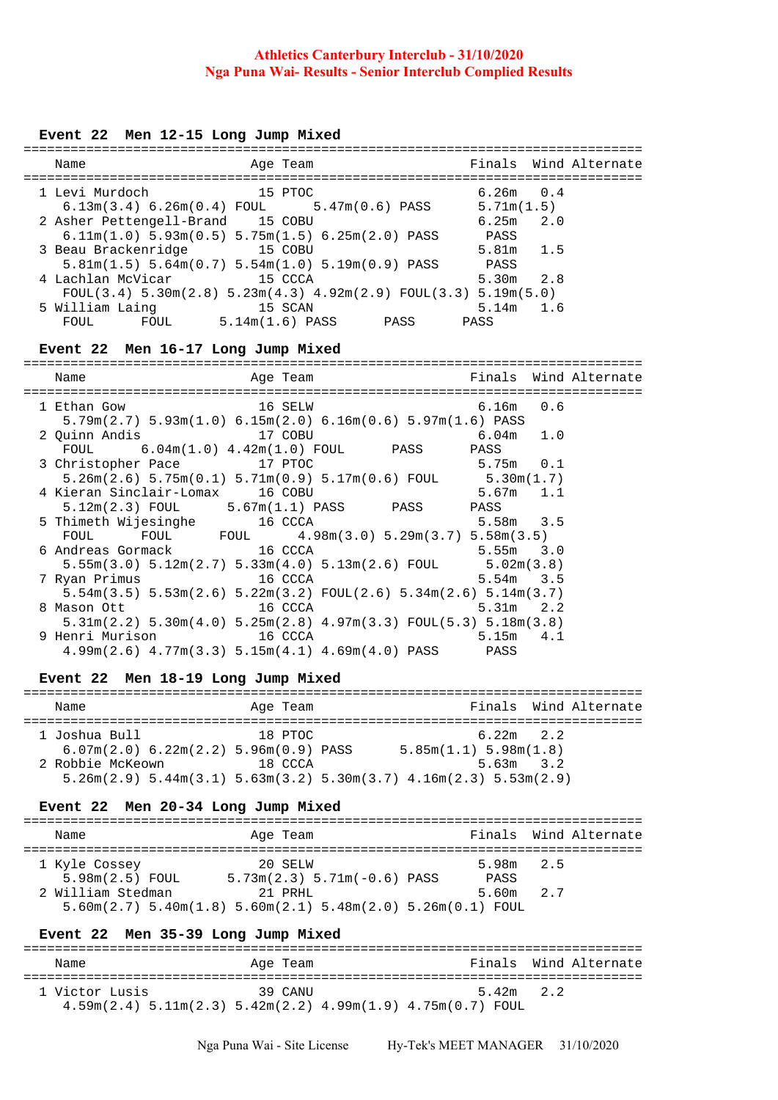## **Event 22 Men 12-15 Long Jump Mixed**

| Name                             | Age Team                                                                                    | Finals Wind Alternate |
|----------------------------------|---------------------------------------------------------------------------------------------|-----------------------|
| 1 Levi Murdoch                   | 15 PTOC                                                                                     | $6.26m$ 0.4           |
|                                  | $6.13\text{m}(3.4)$ $6.26\text{m}(0.4)$ ${\text{FOUL}}$ $5.47\text{m}(0.6)$ ${\text{PASS}}$ | 5.71m(1.5)            |
| 2 Asher Pettengell-Brand 15 COBU |                                                                                             | $6.25m$ $2.0$         |
|                                  | $6.11m(1.0) 5.93m(0.5) 5.75m(1.5) 6.25m(2.0) PASS$                                          | PASS                  |
| 3 Beau Brackenridge 15 COBU      |                                                                                             | $5.81m$ 1.5           |
|                                  | $5.81m(1.5) 5.64m(0.7) 5.54m(1.0) 5.19m(0.9) PASS$                                          | PASS                  |
| 4 Lachlan McVicar                | 15 CCCA                                                                                     | $5.30m$ 2.8           |
|                                  | $FOUT(3.4) 5.30m(2.8) 5.23m(4.3) 4.92m(2.9) FOUT(3.3) 5.19m(5.0)$                           |                       |
| 5 William Laing                  | 15 SCAN                                                                                     | $5.14m$ 1.6           |
| FOUL<br>FOUL                     | $5.14m(1.6)$ PASS<br>PASS                                                                   | PASS                  |

### **Event 22 Men 16-17 Long Jump Mixed**

| Name <b>South Agement Age Team</b> Rinals Wind Alternate                                                        |                        |                     |  |
|-----------------------------------------------------------------------------------------------------------------|------------------------|---------------------|--|
|                                                                                                                 | ====================== | ------------------- |  |
| 1 Ethan Gow 16 SELW                                                                                             |                        | $6.16m$ 0.6         |  |
| $5.79$ m $(2.7)$ $5.93$ m $(1.0)$ $6.15$ m $(2.0)$ $6.16$ m $(0.6)$ $5.97$ m $(1.6)$ PASS                       |                        |                     |  |
| 2 Ouinn Andis 17 COBU                                                                                           |                        | $6.04m$ 1.0         |  |
| FOUL $6.04m(1.0)$ $4.42m(1.0)$ FOUL PASS PASS                                                                   |                        |                     |  |
| 3 Christopher Pace 17 PTOC                                                                                      |                        | $5.75m$ 0.1         |  |
| $5.26$ m $(2.6)$ 5.75m $(0.1)$ 5.71m $(0.9)$ 5.17m $(0.6)$ FOUL 5.30m $(1.7)$                                   |                        |                     |  |
| 4 Kieran Sinclair-Lomax 16 COBU                                                                                 |                        | $5.67m$ 1.1         |  |
| $5.12m(2.3)$ FOUL $5.67m(1.1)$ PASS PASS PASS                                                                   |                        |                     |  |
| 5 Thimeth Wijesinghe 16 CCCA                                                                                    |                        | 5.58m 3.5           |  |
| FOUL FOUL FOUL 4.98m(3.0) 5.29m(3.7) 5.58m(3.5)                                                                 |                        |                     |  |
| 6 Andreas Gormack 16 CCCA                                                                                       |                        | $5.55m$ 3.0         |  |
| $5.55m(3.0)$ $5.12m(2.7)$ $5.33m(4.0)$ $5.13m(2.6)$ FOUL $5.02m(3.8)$                                           |                        |                     |  |
| 7 Ryan Primus                                                                                                   | $16$ CCCA              | $5.54m$ 3.5         |  |
| $5.54$ m $(3.5)$ $5.53$ m $(2.6)$ $5.22$ m $(3.2)$ FOUL $(2.6)$ $5.34$ m $(2.6)$ $5.14$ m $(3.7)$               |                        |                     |  |
| 8 Mason Ott                                                                                                     | 16 CCCA                | 5.31m 2.2           |  |
| $5.31\text{m}(2.2)$ $5.30\text{m}(4.0)$ $5.25\text{m}(2.8)$ $4.97\text{m}(3.3)$ $FOUL(5.3)$ $5.18\text{m}(3.8)$ |                        |                     |  |
| 9 Henri Murison 16 CCCA                                                                                         |                        | $5.15m$ $4.1$       |  |
| $4.99\text{m}(2.6)$ $4.77\text{m}(3.3)$ $5.15\text{m}(4.1)$ $4.69\text{m}(4.0)$ PASS PASS                       |                        |                     |  |

# **Event 22 Men 18-19 Long Jump Mixed**

| Name             |                                       | Age Team |                                                                                                                        | Finals Wind Alternate |
|------------------|---------------------------------------|----------|------------------------------------------------------------------------------------------------------------------------|-----------------------|
| 1 Joshua Bull    | 6.07m(2.0) 6.22m(2.2) 5.96m(0.9) PASS | 18 PTOC  | $6.22m$ 2.2<br>5.85m(1.1) 5.98m(1.8)                                                                                   |                       |
| 2 Robbie McKeown |                                       | 18 CCCA  | $5.63m$ $3.2$<br>$5.26$ m $(2.9)$ $5.44$ m $(3.1)$ $5.63$ m $(3.2)$ $5.30$ m $(3.7)$ $4.16$ m $(2.3)$ $5.53$ m $(2.9)$ |                       |

### **Event 22 Men 20-34 Long Jump Mixed**

| Name              | Age Team                                                                                  |             | Finals Wind Alternate |
|-------------------|-------------------------------------------------------------------------------------------|-------------|-----------------------|
|                   |                                                                                           |             |                       |
| 1 Kyle Cossey     | 20 SELW                                                                                   | $5.98m$ 2.5 |                       |
| $5.98m(2.5)$ FOUL | $5.73m(2.3) 5.71m(-0.6) PASS$                                                             | PASS        |                       |
| 2 William Stedman | 21 PRHI.                                                                                  | $5.60m$ 2.7 |                       |
|                   | $5.60$ m $(2.7)$ $5.40$ m $(1.8)$ $5.60$ m $(2.1)$ $5.48$ m $(2.0)$ $5.26$ m $(0.1)$ FOUL |             |                       |

# **Event 22 Men 35-39 Long Jump Mixed**

| Name                                                                                                                           | Age Team |             | Finals Wind Alternate |
|--------------------------------------------------------------------------------------------------------------------------------|----------|-------------|-----------------------|
| 1 Victor Lusis<br>$4.59\text{m}(2.4)$ 5.11 $\text{m}(2.3)$ 5.42 $\text{m}(2.2)$ 4.99 $\text{m}(1.9)$ 4.75 $\text{m}(0.7)$ FOUL | 39 CANII | $5.42m$ 2.2 |                       |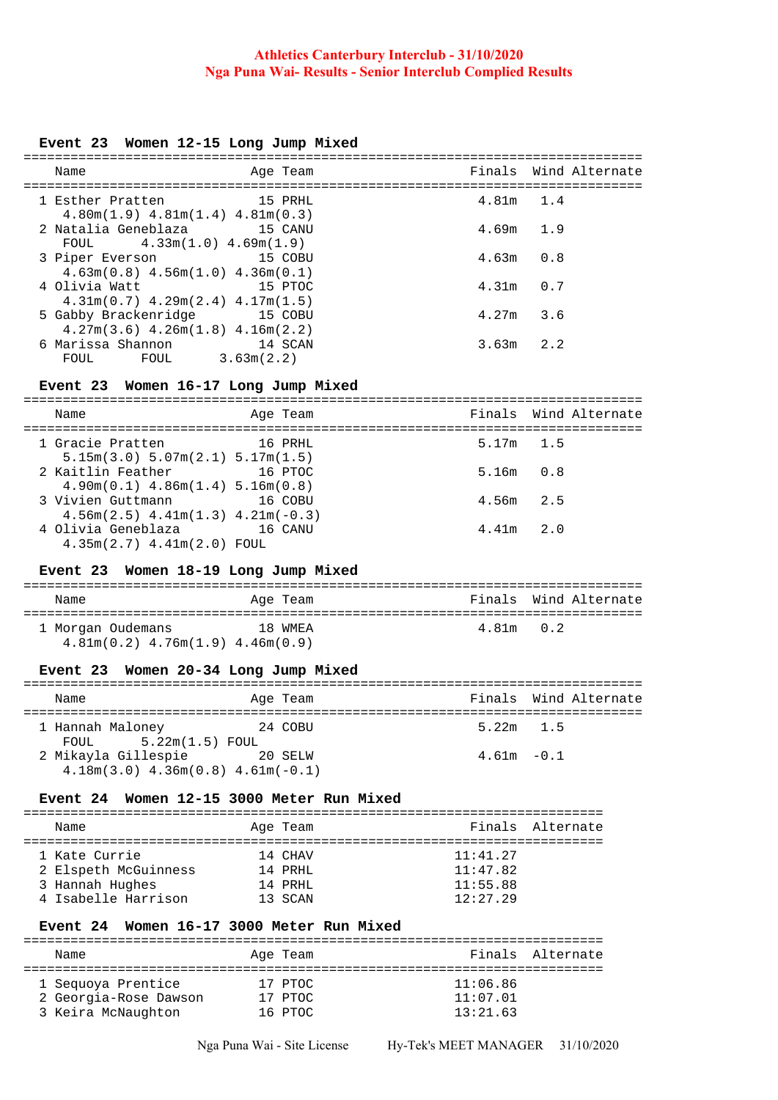### **Event 23 Women 12-15 Long Jump Mixed**

| Name                                                                                            | Age Team |             | Finals Wind Alternate |
|-------------------------------------------------------------------------------------------------|----------|-------------|-----------------------|
| =========================<br>1 Esther Pratten 15 PRHL<br>$4.80m(1.9)$ $4.81m(1.4)$ $4.81m(0.3)$ |          | 4.81m 1.4   |                       |
| 2 Natalia Geneblaza 15 CANU<br>FOUL $4.33m(1.0) 4.69m(1.9)$                                     |          | $4.69m$ 1.9 |                       |
| 3 Piper Everson<br>and the 15 COBU<br>$4.63m(0.8)$ $4.56m(1.0)$ $4.36m(0.1)$                    |          | $4.63m$ 0.8 |                       |
| 4 Olivia Watt<br>$4.31m(0.7)$ $4.29m(2.4)$ $4.17m(1.5)$                                         | 15 PTOC  | $4.31m$ 0.7 |                       |
| 5 Gabby Brackenridge 15 COBU<br>$4.27m(3.6)$ $4.26m(1.8)$ $4.16m(2.2)$                          |          | $4.27m$ 3.6 |                       |
| 6 Marissa Shannon<br>3.63m(2.2)<br>FOUL<br>FOUL                                                 | 14 SCAN  | $3.63m$ 2.2 |                       |

# **Event 23 Women 16-17 Long Jump Mixed**

| Name                                                         | Age Team |               | Finals Wind Alternate |
|--------------------------------------------------------------|----------|---------------|-----------------------|
| 1 Gracie Pratten<br>$5.15m(3.0)$ $5.07m(2.1)$ $5.17m(1.5)$   | 16 PRHL  | $5.17m$ 1.5   |                       |
| 2 Kaitlin Feather<br>$4.90m(0.1)$ $4.86m(1.4)$ $5.16m(0.8)$  | 16 PTOC  | $5.16m$ $0.8$ |                       |
| 3 Vivien Guttmann<br>$4.56m(2.5)$ $4.41m(1.3)$ $4.21m(-0.3)$ | 16 COBU  | $4.56m$ 2.5   |                       |
| 4 Olivia Geneblaza<br>$4.35m(2.7)$ $4.41m(2.0)$ FOUL         | 16 CANU  | $4.41m$ 2.0   |                       |

### **Event 23 Women 18-19 Long Jump Mixed**

| Name                                   | Age Team |             | Finals Wind Alternate |
|----------------------------------------|----------|-------------|-----------------------|
| 1 Morgan Oudemans                      | 18 WMEA  | $4.81m$ 0.2 |                       |
| $4.81m(0.2)$ $4.76m(1.9)$ $4.46m(0.9)$ |          |             |                       |

#### **Event 23 Women 20-34 Long Jump Mixed**

| Name                                                           | Age Team | Finals Wind Alternate |  |  |  |  |
|----------------------------------------------------------------|----------|-----------------------|--|--|--|--|
| 1 Hannah Maloney<br>$FOUL$ $5.22m(1.5)$ $FOUL$                 | 24 COBU  | $5.22m$ 1.5           |  |  |  |  |
| 2 Mikayla Gillespie<br>$4.18m(3.0)$ $4.36m(0.8)$ $4.61m(-0.1)$ | 20 SELW  | $4.61m - 0.1$         |  |  |  |  |

### **Event 24 Women 12-15 3000 Meter Run Mixed**

| Name                 | Age Team |          | Finals Alternate |
|----------------------|----------|----------|------------------|
|                      |          |          |                  |
| 1 Kate Currie        | 14 CHAV  | 11:41.27 |                  |
| 2 Elspeth McGuinness | 14 PRHI. | 11:47.82 |                  |
| 3 Hannah Hughes      | 14 PRHI. | 11:55.88 |                  |
| 4 Isabelle Harrison  | 13 SCAN  | 12:27.29 |                  |

#### **Event 24 Women 16-17 3000 Meter Run Mixed**

| Name                  | Age Team | Finals Alternate |
|-----------------------|----------|------------------|
|                       |          |                  |
| 1 Seguoya Prentice    | 17 PTOC  | 11:06.86         |
| 2 Georgia-Rose Dawson | 17 PTOC  | 11:07.01         |
| 3 Keira McNaughton    | 16 PTOC  | 13:21.63         |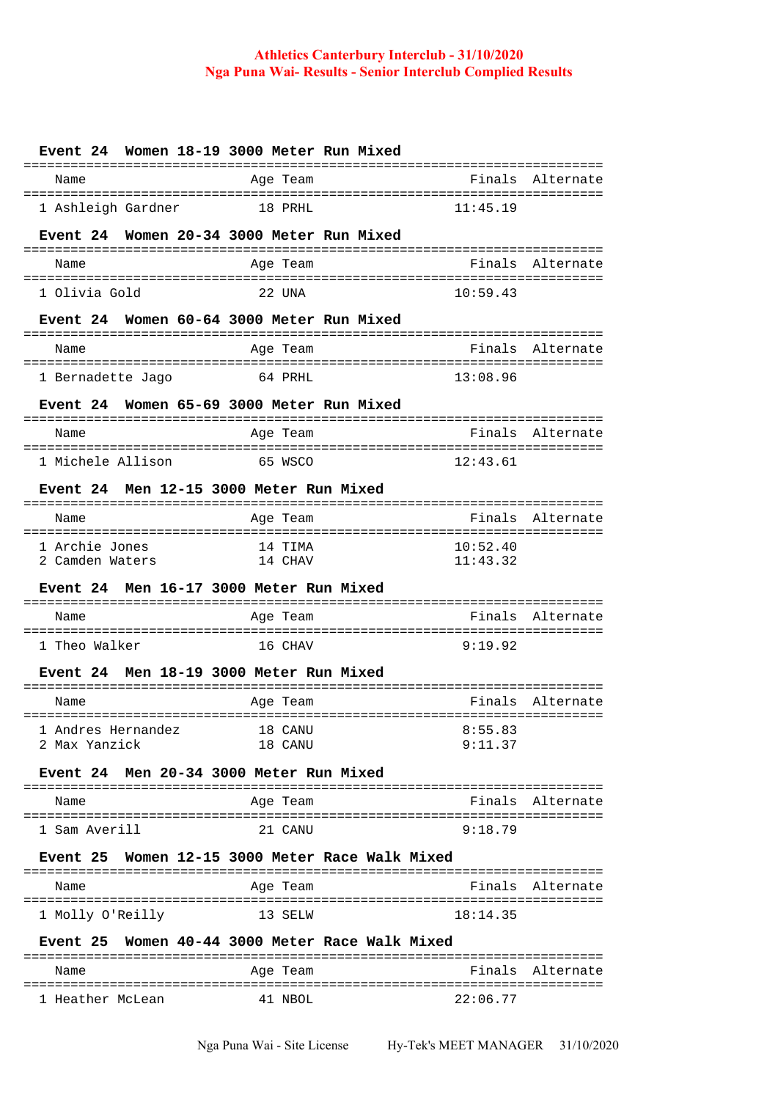| Women 18-19 3000 Meter Run Mixed<br><b>Event 24</b>       |          |                  |
|-----------------------------------------------------------|----------|------------------|
| Age Team<br>Name                                          | Finals   | Alternate        |
| 1 Ashleigh Gardner<br>18 PRHL                             | 11:45.19 |                  |
| Women 20-34 3000 Meter Run Mixed<br><b>Event</b> 24       |          |                  |
| Age Team<br>Name                                          | Finals   | Alternate        |
| 1 Olivia Gold<br>22 UNA                                   | 10:59.43 |                  |
| Women 60-64 3000 Meter Run Mixed<br><b>Event 24</b>       |          |                  |
|                                                           |          |                  |
| Name<br>Age Team                                          | Finals   | Alternate        |
| 1 Bernadette Jago<br>64 PRHL                              | 13:08.96 |                  |
| Women 65-69 3000 Meter Run Mixed<br><b>Event</b> 24       |          |                  |
| Age Team<br>Name                                          | Finals   | Alternate        |
| 1 Michele Allison<br>65 WSCO                              | 12:43.61 |                  |
| Men 12-15 3000 Meter Run Mixed<br>Event 24                |          |                  |
| ========================<br>Age Team<br>Name              | Finals   | Alternate        |
| 1 Archie Jones<br>14 TIMA                                 | 10:52.40 |                  |
| 2 Camden Waters<br>14 CHAV                                | 11:43.32 |                  |
| Men 16-17 3000 Meter Run Mixed<br><b>Event 24</b>         |          |                  |
| Name<br>Age Team                                          | Finals   | Alternate        |
| 1 Theo Walker<br>16 CHAV                                  | 9:19.92  |                  |
| Men 18-19 3000 Meter Run Mixed<br>Event 24                |          |                  |
| Age Team<br>Name                                          | Finals   | Alternate        |
| 1 Andres Hernandez<br>18 CANU                             | 8:55.83  |                  |
| 2 Max Yanzick<br>18 CANU                                  | 9:11.37  |                  |
| Event 24 Men 20-34 3000 Meter Run Mixed                   |          |                  |
| Age Team<br>Name                                          |          | Finals Alternate |
| 1 Sam Averill<br>21 CANU                                  | 9:18.79  |                  |
| Women 12-15 3000 Meter Race Walk Mixed<br>Event 25        |          |                  |
| Age Team<br>Name                                          |          | Finals Alternate |
| 1 Molly O'Reilly<br>13 SELW                               | 18:14.35 |                  |
|                                                           |          |                  |
| Women 40-44 3000 Meter Race Walk Mixed<br><b>Event 25</b> |          |                  |
| Age Team<br>Name                                          |          | Finals Alternate |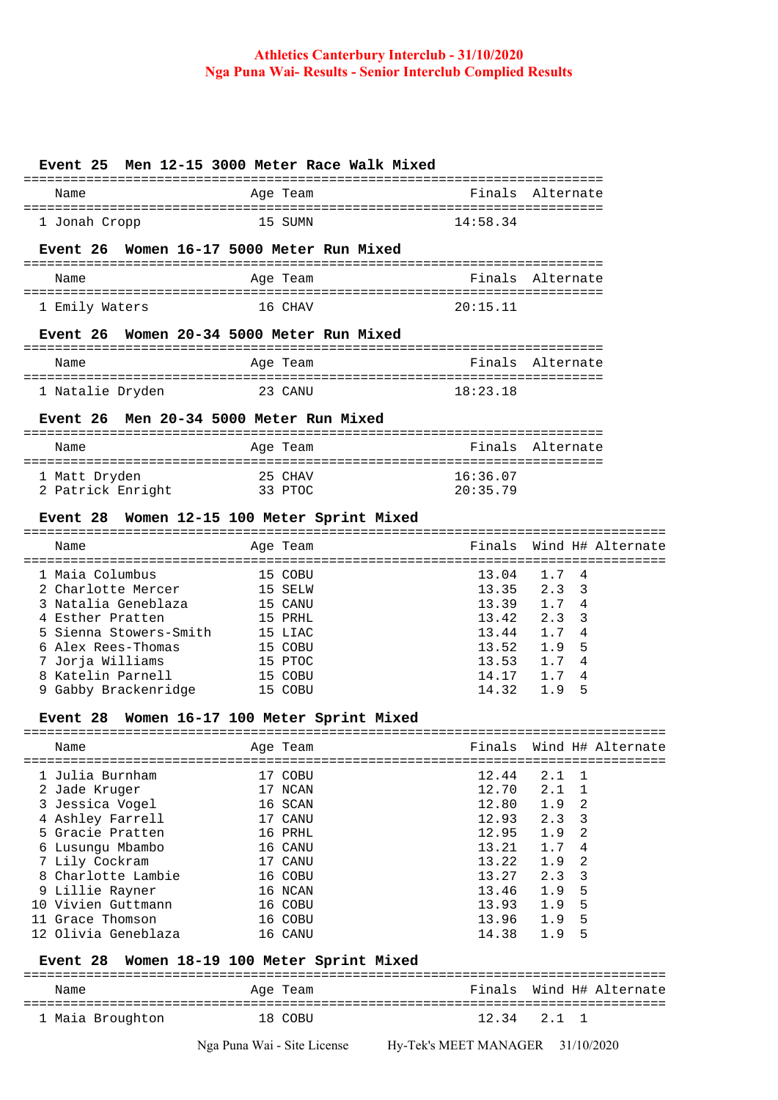| Event 25 Men 12-15 3000 Meter Race Walk Mixed               |                                    |                                              |                                 |
|-------------------------------------------------------------|------------------------------------|----------------------------------------------|---------------------------------|
| Name                                                        | Age Team                           |                                              | Finals Alternate                |
| 1 Jonah Cropp                                               | 15 SUMN                            | 14:58.34                                     |                                 |
| Event 26                                                    | Women 16-17 5000 Meter Run Mixed   |                                              |                                 |
| Name                                                        | Age Team                           |                                              | Finals Alternate                |
| 1 Emily Waters                                              | 16 CHAV                            | 20:15.11                                     |                                 |
| Event 26 Women 20-34 5000 Meter Run Mixed                   |                                    |                                              |                                 |
| Name                                                        | Age Team                           | Finals Alternate                             |                                 |
| 1 Natalie Dryden                                            | 23 CANU                            | 18:23.18                                     |                                 |
| <b>Event 26</b>                                             | Men 20-34 5000 Meter Run Mixed     |                                              |                                 |
| Name                                                        | Age Team                           |                                              | Finals Alternate                |
| 1 Matt Dryden<br>1 Matt Dryden<br>2 Patrick Enright 33 PTOC | 25 CHAV                            | 16:36.07<br>20:35.79                         |                                 |
| <b>Event 28</b>                                             | Women 12-15 100 Meter Sprint Mixed |                                              |                                 |
|                                                             |                                    |                                              |                                 |
| Name                                                        | Age Team                           | Finals                                       | Wind H# Alternate               |
| 1 Maia Columbus                                             | 15 COBU                            | :==================================<br>13.04 | 1.7<br>4                        |
| 2 Charlotte Mercer 15 SELW                                  |                                    | 13.35                                        | 2.3<br>3                        |
| 3 Natalia Geneblaza 15 CANU                                 |                                    | 13.39                                        | 1.7<br>-4                       |
| 4 Esther Pratten                                            | 15 PRHL                            | 13.42                                        | 2.3<br>3                        |
| 5 Sienna Stowers-Smith 15 LIAC                              |                                    | 13.44                                        | 1.7<br>4                        |
| 6 Alex Rees-Thomas                                          |                                    | 13.52                                        | 5<br>1.9                        |
| 7 Jorja Williams                                            | 15 COBU<br>15 PTOC<br>15 COBU      | 13.53                                        | 4<br>1.7                        |
|                                                             |                                    |                                              |                                 |
| 8 Katelin Parnell<br>9 Gabby Brackenridge 15 COBU           |                                    | 14.17                                        | 1.7<br>4                        |
|                                                             |                                    | 14.32                                        | 1.9<br>5                        |
| <b>Event 28</b>                                             | Women 16-17 100 Meter Sprint Mixed |                                              |                                 |
| Name                                                        | Age Team                           | Finals                                       | Wind H# Alternate               |
|                                                             |                                    | ======                                       |                                 |
| 1 Julia Burnham                                             | 17 COBU                            | 12.44                                        | 2.1<br>1                        |
| 2 Jade Kruger                                               | 17 NCAN                            | 12.70                                        | 2.1<br>1                        |
| 3 Jessica Vogel                                             | 16 SCAN                            | 12.80                                        | 2<br>1.9                        |
| 4 Ashley Farrell                                            | 17 CANU                            | 12.93                                        | 3<br>2.3                        |
| 5 Gracie Pratten                                            | 16 PRHL                            | 12.95                                        | 2<br>1.9                        |
| 6 Lusungu Mbambo                                            | 16 CANU                            | 13.21                                        | 1.7<br>4                        |
| 7 Lily Cockram                                              | 17 CANU                            | 13.22                                        | 1.9<br>2                        |
| 8 Charlotte Lambie                                          | 16 COBU                            | 13.27                                        | 2.3<br>3                        |
| 9 Lillie Rayner                                             | 16 NCAN                            | 13.46                                        | 5<br>1.9                        |
| 10 Vivien Guttmann                                          | 16 COBU                            | 13.93                                        | 5<br>1.9                        |
| 11 Grace Thomson                                            | 16 COBU                            | 13.96                                        | 5<br>1.9                        |
| 12 Olivia Geneblaza                                         | 16 CANU                            | 14.38                                        | 1.9<br>5                        |
| <b>Event</b> 28                                             | Women 18-19 100 Meter Sprint Mixed |                                              |                                 |
| Name                                                        | Age Team                           | Finals                                       | Wind H# Alternate               |
| 1 Maia Broughton                                            | 18 COBU                            | 12.34                                        | 2.1<br>$\overline{\phantom{0}}$ |
|                                                             |                                    |                                              |                                 |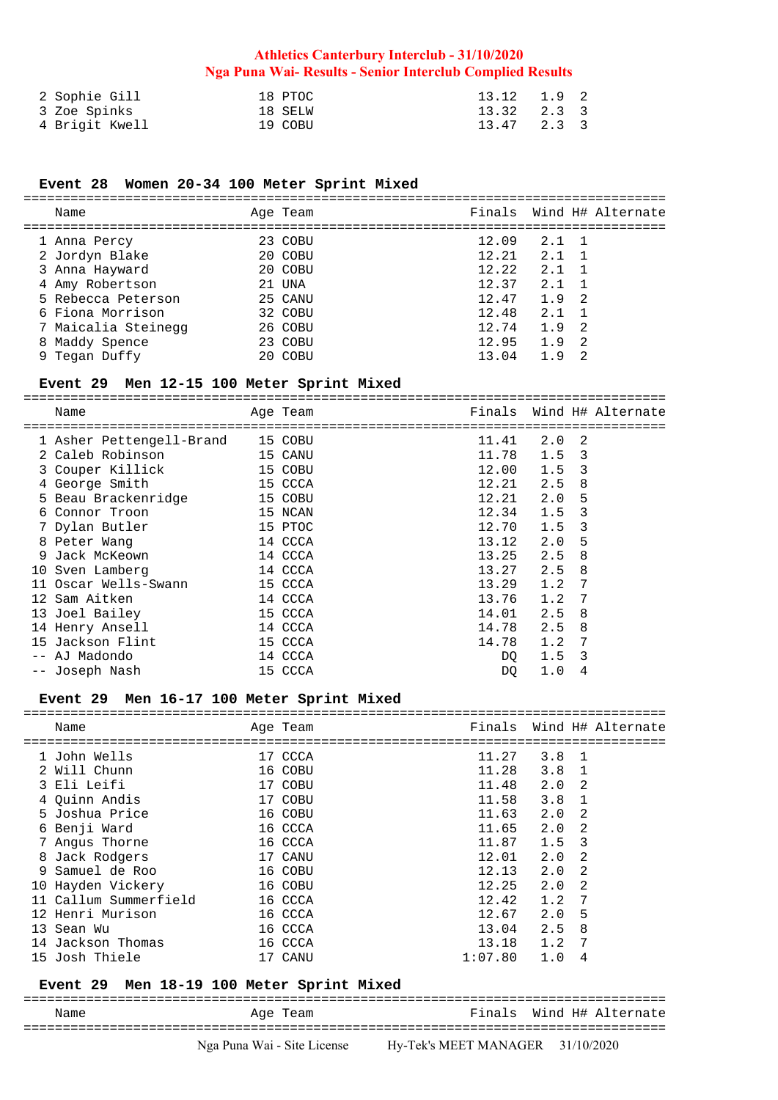| 2 Sophie Gill  | 18 PTOC | 13.12 1.9 2     |  |
|----------------|---------|-----------------|--|
| 3 Zoe Spinks   | 18 SELW | $13.32$ $2.3$ 3 |  |
| 4 Brigit Kwell | 19 COBU | 13.47 2.3 3     |  |

# **Event 28 Women 20-34 100 Meter Sprint Mixed**

| Name                | Age Team | Finals Wind H# Alternate |
|---------------------|----------|--------------------------|
| 1 Anna Percy        | 23 COBU  | 12.09<br>$2.1 \quad 1$   |
| 2 Jordyn Blake      | 20 COBU  | 12.21<br>2.1<br>- 1      |
| 3 Anna Hayward      | 20 COBU  | 12.22<br>2.1             |
| 4 Amy Robertson     | 21 UNA   | 12.37<br>2.1             |
| 5 Rebecca Peterson  | 25 CANU  | 12.47<br>1.9<br>- 2      |
| 6 Fiona Morrison    | 32 COBU  | 12.48<br>2.1             |
| 7 Maicalia Steinegg | 26 COBU  | -2<br>12.74<br>1.9       |
| 8 Maddy Spence      | 23 COBU  | 12.95<br>1.9<br>- 2      |
| 9 Tegan Duffy       | 20 COBU  | - 2<br>13.04<br>19       |

### **Event 29 Men 12-15 100 Meter Sprint Mixed**

|   | Name                                               | Age Team |       |     | Finals Wind H# Alternate |
|---|----------------------------------------------------|----------|-------|-----|--------------------------|
|   | ==============<br>1 Asher Pettengell-Brand 15 COBU |          | 11.41 | 2.0 | -2                       |
|   | 2 Caleb Robinson<br>15 CANU                        |          | 11.78 | 1.5 | 3                        |
|   | 3 Couper Killick<br>and 15 COBU                    |          | 12.00 | 1.5 | 3                        |
|   | 4 George Smith<br>$15$ CCCA                        |          | 12.21 | 2.5 | 8                        |
|   | 5 Beau Brackenridge<br>15 COBU                     |          | 12.21 | 2.0 | 5                        |
|   | 6 Connor Troon                                     | 15 NCAN  | 12.34 | 1.5 | 3                        |
|   | 7 Dylan Butler                                     | 15 PTOC  | 12.70 | 1.5 | 3                        |
|   | 8 Peter Wang                                       | 14 CCCA  | 13.12 | 2.0 | 5                        |
| 9 | Jack McKeown<br>14 CCCA                            |          | 13.25 | 2.5 | 8                        |
|   | 10 Sven Lamberg                                    | 14 CCCA  | 13.27 | 2.5 | 8                        |
|   | 11 Oscar Wells-Swann                               | 15 CCCA  | 13.29 | 1.2 | 7                        |
|   | 12 Sam Aitken                                      | 14 CCCA  | 13.76 | 1.2 | 7                        |
|   | 13 Joel Bailey                                     | 15 CCCA  | 14.01 | 2.5 | 8                        |
|   | 14 Henry Ansell                                    | 14 CCCA  | 14.78 | 2.5 | 8                        |
|   | 15 Jackson Flint                                   | 15 CCCA  | 14.78 | 1.2 | 7                        |
|   | AJ Madondo                                         | 14 CCCA  | DO    | 1.5 | 3                        |
|   | -- Joseph Nash                                     | 15 CCCA  | DQ    | 1.0 | 4                        |

### **Event 29 Men 16-17 100 Meter Sprint Mixed**

| Name                     |         | Age Team |         |               | Finals Wind H# Alternate |
|--------------------------|---------|----------|---------|---------------|--------------------------|
| ======================== |         |          |         |               |                          |
| 1 John Wells             |         | 17 CCCA  | 11.27   | $3.8 \quad 1$ |                          |
| 2 Will Chunn             |         | 16 COBU  | 11.28   | $3.8 \quad 1$ |                          |
| 3 Eli Leifi              |         | 17 COBU  | 11.48   | 2.0<br>2      |                          |
| 4 Ouinn Andis            |         | 17 COBU  | 11.58   | 3.8           |                          |
| 5 Joshua Price           |         | 16 COBU  | 11.63   | 2.0<br>2      |                          |
| 6 Benji Ward             |         | 16 CCCA  | 11.65   | 2.0<br>2      |                          |
| 7 Angus Thorne           |         | 16 CCCA  | 11.87   | 3<br>1.5      |                          |
| 8 Jack Rodgers           |         | 17 CANU  | 12.01   | 2<br>2.0      |                          |
| 9 Samuel de Roo          |         | 16 COBU  | 12.13   | 2<br>2.0      |                          |
| 10 Hayden Vickery        | 16 COBU |          | 12.25   | 2.0<br>2      |                          |
| 11 Callum Summerfield    |         | 16 CCCA  | 12.42   | -7<br>1.2     |                          |
| 12 Henri Murison         |         | 16 CCCA  | 12.67   | 2.0<br>5      |                          |
| 13 Sean Wu               |         | 16 CCCA  | 13.04   | 2.5<br>8      |                          |
| 14 Jackson Thomas        |         | 16 CCCA  | 13.18   | 1.2<br>-7     |                          |
| 15 Josh Thiele           |         | 17 CANU  | 1:07.80 | 1.0<br>4      |                          |

#### **Event 29 Men 18-19 100 Meter Sprint Mixed**

================================================================================== Name **Age Team** Age Team Finals Wind H# Alternate ==================================================================================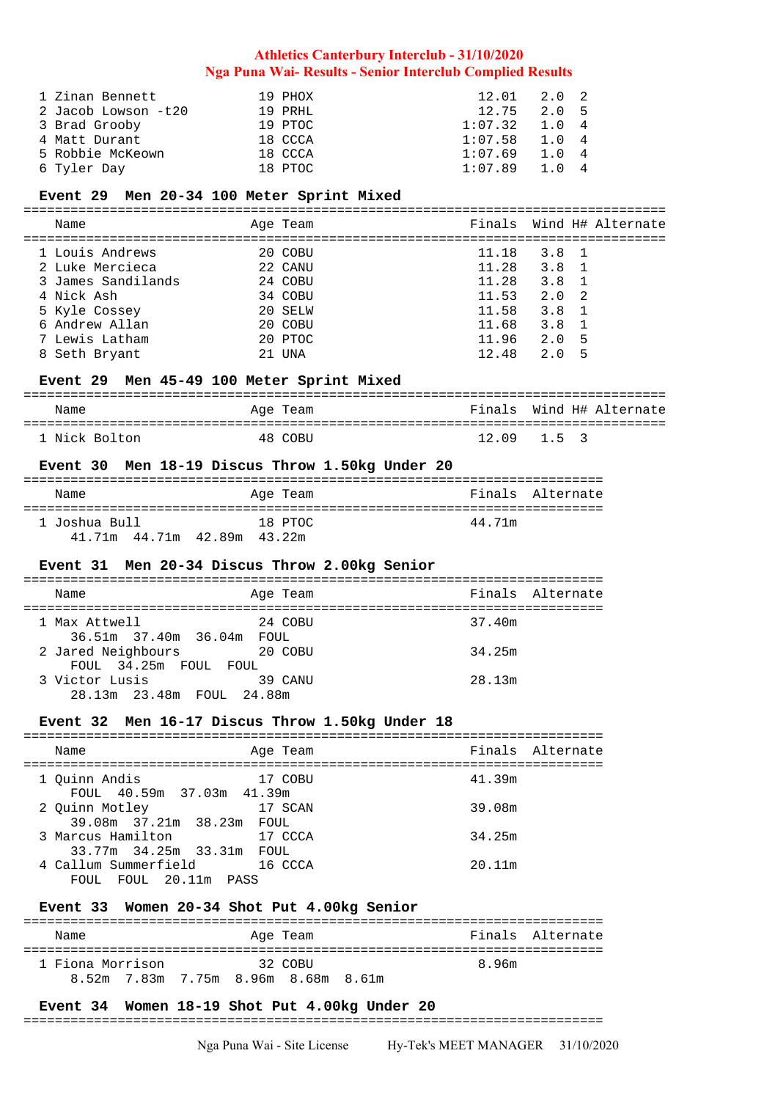| 1 Zinan Bennett     | 19 PHOX  | $12.01$ $2.0$ $2$ |      |  |
|---------------------|----------|-------------------|------|--|
| 2 Jacob Lowson -t20 | 19 PRHI. | $12.75$ $2.0$ 5   |      |  |
| 3 Brad Grooby       | 19 PTOC  | 1:07.32           | 1.04 |  |
| 4 Matt Durant       | 18 CCCA  | 1:07.58           | 1.04 |  |
| 5 Robbie McKeown    | 18 CCCA  | 1:07.69           | 1.04 |  |
| 6 Tyler Day         | 18 PTOC  | 1:07.89           | 1 O  |  |

## **Event 29 Men 20-34 100 Meter Sprint Mixed**

| Name               | Age Team |       |               | Finals Wind H# Alternate |
|--------------------|----------|-------|---------------|--------------------------|
| 1 Louis Andrews    | 20 COBU  | 11.18 | $3.8 \quad 1$ |                          |
| 2 Luke Mercieca    | 22 CANU  | 11.28 | $3.8 \quad 1$ |                          |
| 3 James Sandilands | 24 COBU  | 11.28 | 3.8           |                          |
| 4 Nick Ash         | 34 COBU  | 11.53 | $2.0\quad 2$  |                          |
| 5 Kyle Cossey      | 20 SELW  | 11.58 | $3.8 \quad 1$ |                          |
| 6 Andrew Allan     | 20 COBU  | 11.68 | $3.8 \quad 1$ |                          |
| 7 Lewis Latham     | 20 PTOC  | 11.96 | 2.0<br>-5     |                          |
| 8 Seth Bryant      | 21 UNA   | 12.48 | 2.0<br>5      |                          |

# **Event 29 Men 45-49 100 Meter Sprint Mixed**

| Name          | Age Team | Finals Wind H# Alternate |
|---------------|----------|--------------------------|
| 1 Nick Bolton | 48 COBIL | $12.09$ $1.5$ 3          |

#### **Event 30 Men 18-19 Discus Throw 1.50kg Under 20**

| Name                           | Age Team | Finals Alternate |
|--------------------------------|----------|------------------|
| 1 Joshua Bull                  | 18 PTOC  | 44.71m           |
| 41.71m  44.71m  42.89m  43.22m |          |                  |

### **Event 31 Men 20-34 Discus Throw 2.00kg Senior**

| Name                      | Age Team | Finals Alternate |
|---------------------------|----------|------------------|
|                           |          |                  |
| 1 Max Attwell             | 24 COBU  | 37.40m           |
| 36.51m 37.40m 36.04m FOUL |          |                  |
| 2 Jared Neighbours        | 20 COBU  | 34.25m           |
| FOUL 34.25m FOUL FOUL     |          |                  |
| 3 Victor Lusis            | 39 CANU  | 28.13m           |
| 28.13m 23.48m FOUL 24.88m |          |                  |

#### **Event 32 Men 16-17 Discus Throw 1.50kg Under 18**

| Name                                           | Age Team | Finals Alternate |
|------------------------------------------------|----------|------------------|
| 1 Quinn Andis<br>FOUL 40.59m 37.03m 41.39m     | 17 COBU  | 41.39m           |
| 2 Ouinn Motley<br>39.08m 37.21m 38.23m FOUL    | 17 SCAN  | 39.08m           |
| 3 Marcus Hamilton<br>33.77m 34.25m 33.31m FOUL | 17 CCCA  | 34.25m           |
| 4 Callum Summerfield<br>FOUL FOUL 20.11m PASS  | 16 CCCA  | 20.11m           |

# **Event 33 Women 20-34 Shot Put 4.00kg Senior**

| Name             | Age Team                            | Finals Alternate |
|------------------|-------------------------------------|------------------|
| 1 Fiona Morrison | 32. COBIL                           | 896m             |
|                  | 8.52m 7.83m 7.75m 8.96m 8.68m 8.61m |                  |

# **Event 34 Women 18-19 Shot Put 4.00kg Under 20**

### ==========================================================================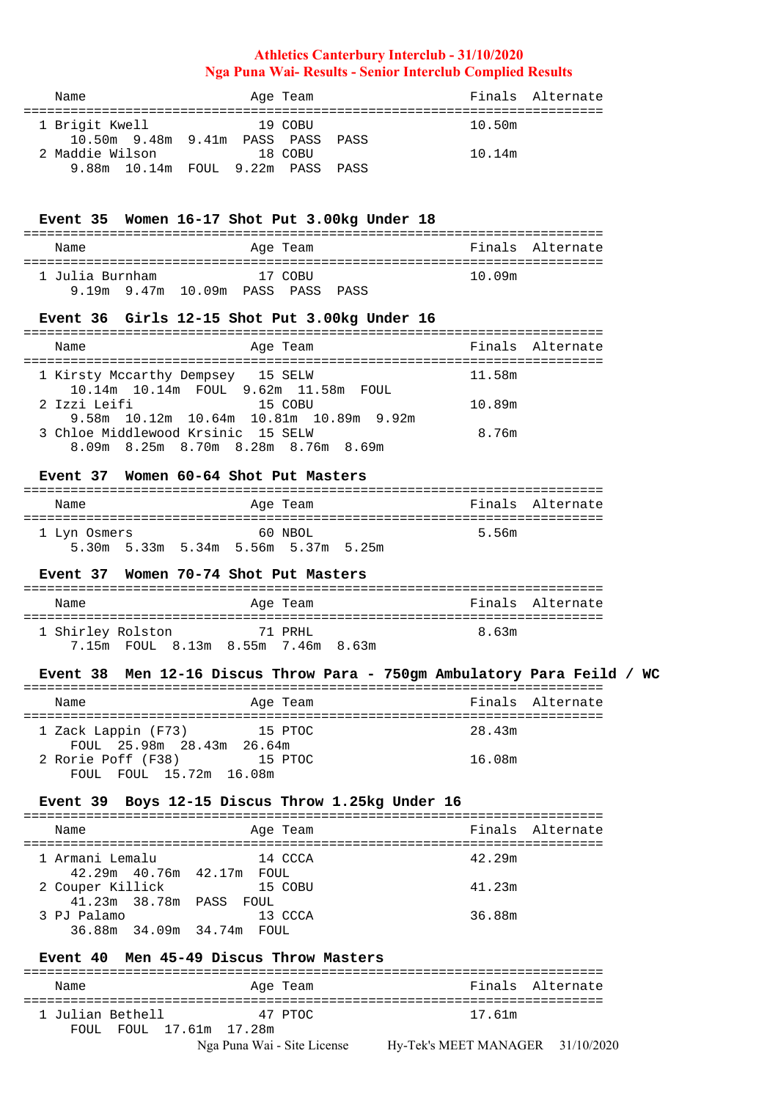| Name                              | Age Team | Finals Alternate |
|-----------------------------------|----------|------------------|
| 1 Brigit Kwell                    | 19 COBU  | 10.50m           |
| 10.50m 9.48m 9.41m PASS PASS PASS |          |                  |
| 2 Maddie Wilson                   | 18 COBU  | 10.14m           |
| 9.88m 10.14m FOUL 9.22m PASS PASS |          |                  |

### **Event 35 Women 16-17 Shot Put 3.00kg Under 18**

| Name            | Age Team                          | Finals Alternate |
|-----------------|-----------------------------------|------------------|
| 1 Julia Burnham | 17 COBII                          | 10.09m           |
|                 | 9.19m 9.47m 10.09m PASS PASS PASS |                  |

#### **Event 36 Girls 12-15 Shot Put 3.00kg Under 16**

| Age Team<br>Name                        |        | Finals Alternate |
|-----------------------------------------|--------|------------------|
|                                         |        |                  |
| 1 Kirsty Mccarthy Dempsey 15 SELW       | 11.58m |                  |
| 10.14m 10.14m FOUL 9.62m 11.58m FOUL    |        |                  |
| 2 Izzi Leifi<br>15 COBII                | 10.89m |                  |
| 9.58m 10.12m 10.64m 10.81m 10.89m 9.92m |        |                  |
| 3 Chloe Middlewood Krsinic 15 SELW      | 8.76m  |                  |
| 8.09m 8.25m 8.70m 8.28m 8.76m 8.69m     |        |                  |

#### **Event 37 Women 60-64 Shot Put Masters**

|  | Name         |  |  |  | Age Team                            |  |       | Finals Alternate |
|--|--------------|--|--|--|-------------------------------------|--|-------|------------------|
|  | 1 Lyn Osmers |  |  |  | 60 NBOL                             |  | 5.56m |                  |
|  |              |  |  |  | 5.30m 5.33m 5.34m 5.56m 5.37m 5.25m |  |       |                  |

#### **Event 37 Women 70-74 Shot Put Masters**

| Name              |  |  |                                    | Age Team |  |       | Finals Alternate |
|-------------------|--|--|------------------------------------|----------|--|-------|------------------|
|                   |  |  |                                    |          |  |       |                  |
| 1 Shirley Rolston |  |  |                                    | 71 PRHI. |  | 8.63m |                  |
|                   |  |  | 7.15m FOUL 8.13m 8.55m 7.46m 8.63m |          |  |       |                  |

#### **Event 38 Men 12-16 Discus Throw Para - 750gm Ambulatory Para Feild / WC**

| Name                                             | Age Team | Finals Alternate |
|--------------------------------------------------|----------|------------------|
| 1 Zack Lappin (F73)<br>FOUL 25.98m 28.43m 26.64m | 15 PTOC  | 28.43m           |
| 2 Rorie Poff (F38)<br>FOUL FOUL 15.72m 16.08m    | 15 PTOC  | 16.08m           |

#### **Event 39 Boys 12-15 Discus Throw 1.25kg Under 16**

========================================================================== Name **Age Team** Age Team Finals Alternate ========================================================================== 1 Armani Lemalu 14 CCCA 14 42.29m 42.29m 40.76m 42.17m FOUL 2 Couper Killick 15 COBU 41.23m 41.23m 38.78m PASS FOUL 3 PJ Palamo 13 CCCA 36.88m 36.88m 34.09m 34.74m FOUL

### **Event 40 Men 45-49 Discus Throw Masters**

Nga Puna Wai - Site License Hy-Tek's MEET MANAGER 31/10/2020 ========================================================================== Age Team **Finals** Alternate ========================================================================== 1 Julian Bethell 47 PTOC 17.61m FOUL FOUL 17.61m 17.28m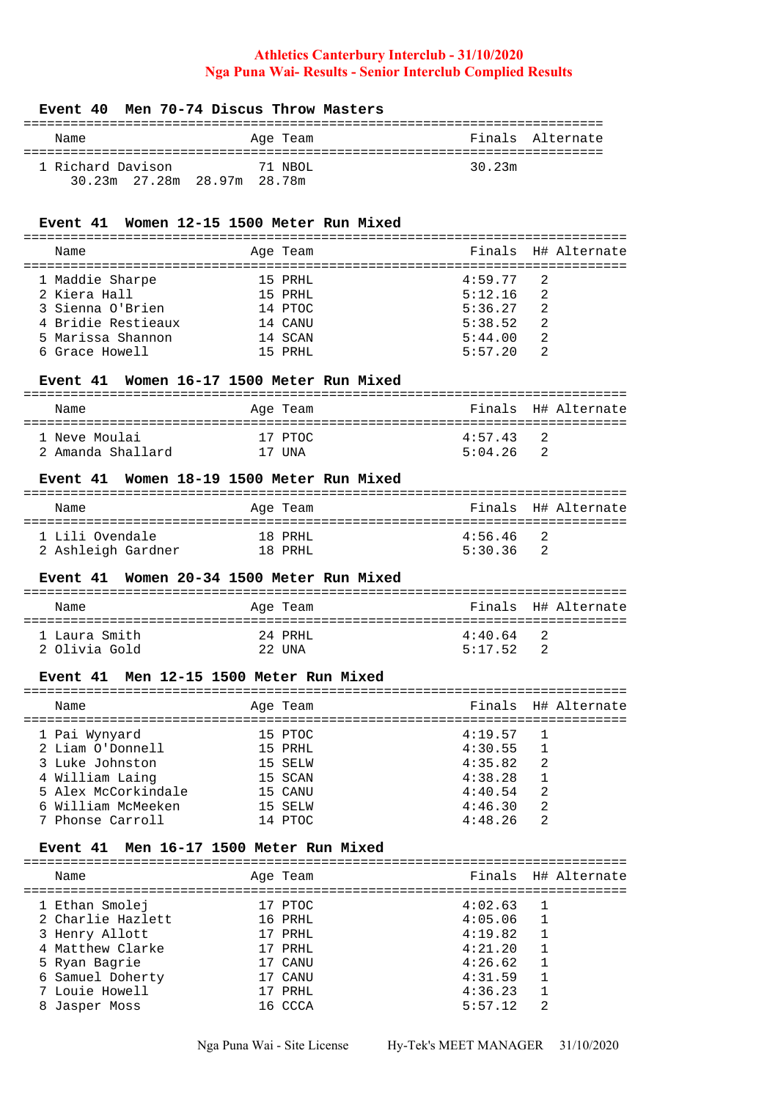#### **Event 40 Men 70-74 Discus Throw Masters**

| Name              |                             |  | Age Team |        | Finals Alternate |
|-------------------|-----------------------------|--|----------|--------|------------------|
| 1 Richard Davison |                             |  | 71 NBOL  | 30.23m |                  |
|                   | 30.23m 27.28m 28.97m 28.78m |  |          |        |                  |

# **Event 41 Women 12-15 1500 Meter Run Mixed**

| Name               |                 |                                                                             | Finals H# Alternate |
|--------------------|-----------------|-----------------------------------------------------------------------------|---------------------|
|                    |                 |                                                                             |                     |
|                    |                 |                                                                             | $\overline{2}$      |
| 2 Kiera Hall       |                 | 5:12.16                                                                     | $\overline{2}$      |
| 3 Sienna O'Brien   |                 | 5:36.27                                                                     | 2                   |
| 4 Bridie Restieaux |                 | 5:38.52                                                                     | - 2.                |
| 5 Marissa Shannon  |                 | 5:44.00                                                                     | -2                  |
| 6 Grace Howell     |                 | 5:57.20                                                                     |                     |
|                    | 1 Maddie Sharpe | Age Team<br>15 PRHL<br>15 PRHL<br>14 PTOC<br>14 CANU<br>14 SCAN<br>15 PRHI. | 4:59.77             |

# **Event 41 Women 16-17 1500 Meter Run Mixed**

| Name                               | Age Team          | Finals H# Alternate                       |
|------------------------------------|-------------------|-------------------------------------------|
| 1 Neve Moulai<br>2 Amanda Shallard | 17 PTOC<br>17 UNA | 4:57 43<br>$\overline{2}$<br>5:04.26<br>2 |

## **Event 41 Women 18-19 1500 Meter Run Mixed**

| Name               | Age Team | Finals H# Alternate       |
|--------------------|----------|---------------------------|
| 1 Lili Ovendale    | 18 PRHI. | $4:56.46$ 2               |
| 2 Ashleigh Gardner | 18 PRHI. | 5:30.36<br>$\overline{2}$ |

### **Event 41 Women 20-34 1500 Meter Run Mixed**

| Name                           | Age Team           | Finals H# Alternate                      |
|--------------------------------|--------------------|------------------------------------------|
| 1 Laura Smith<br>2 Olivia Gold | 24 PRHI.<br>22 UNA | $4:40.64$ 2<br>5:17 52<br>$\overline{2}$ |

## **Event 41 Men 12-15 1500 Meter Run Mixed**

| Name                                   | Age Team           |                    | Finals H# Alternate |
|----------------------------------------|--------------------|--------------------|---------------------|
| 1 Pai Wynyard                          | 15 PTOC            | 4:19.57            |                     |
| 2 Liam O'Donnell<br>3 Luke Johnston    | 15 PRHL<br>15 SELW | 4:30.55<br>4:35.82 | $\mathcal{L}$       |
| 4 William Laing<br>5 Alex McCorkindale | 15 SCAN<br>15 CANU | 4:38.28<br>4:40.54 | 2                   |
| 6 William McMeeken                     | 15 SELW            | 4:46.30            | 2                   |
| 7 Phonse Carroll                       | 14 PTOC            | 4:48.26            |                     |

#### **Event 41 Men 16-17 1500 Meter Run Mixed**

|   | Name                                | Age Team           |                    | Finals H# Alternate |
|---|-------------------------------------|--------------------|--------------------|---------------------|
|   | 1 Ethan Smolej<br>2 Charlie Hazlett | 17 PTOC<br>16 PRHL | 4:02.63<br>4:05.06 | $\overline{1}$      |
|   | 3 Henry Allott                      | 17 PRHL            | 4:19.82            |                     |
|   | 4 Matthew Clarke<br>5 Ryan Bagrie   | 17 PRHL<br>17 CANU | 4:21.20<br>4:26.62 |                     |
|   | 6 Samuel Doherty<br>7 Louie Howell  | 17 CANU<br>17 PRHL | 4:31.59<br>4:36.23 |                     |
| 8 | Jasper Moss                         | 16 CCCA            | 5:57.12            | 2                   |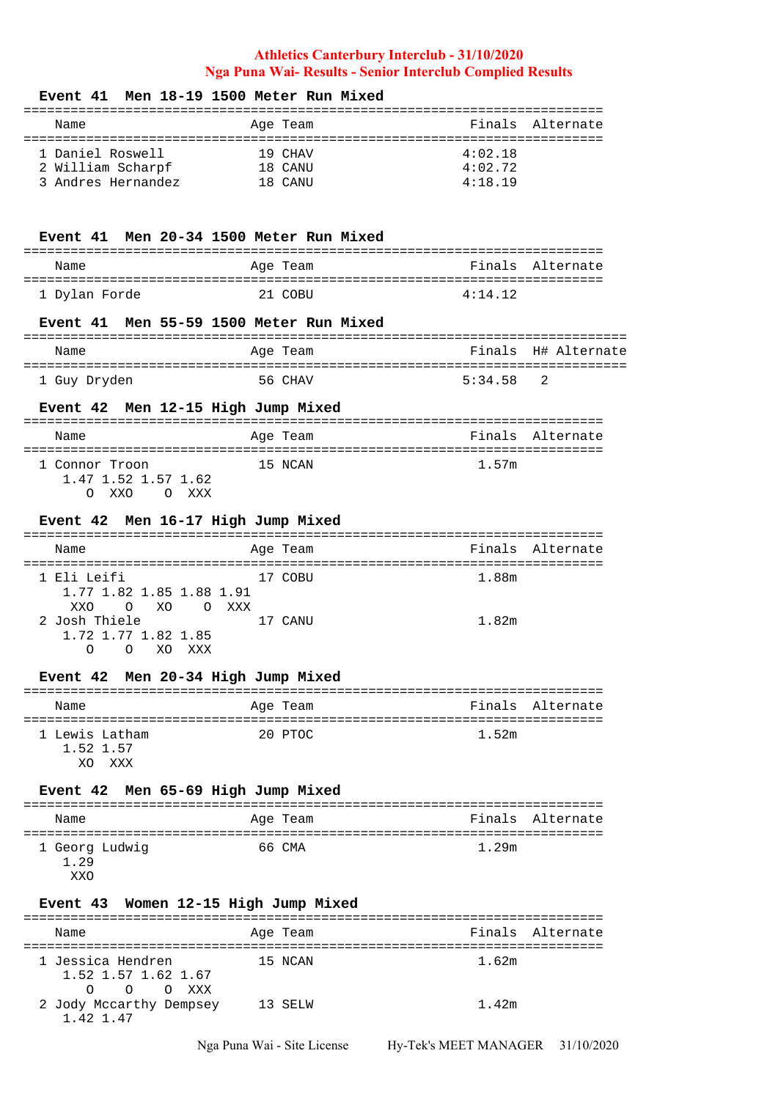### **Event 41 Men 18-19 1500 Meter Run Mixed**

| Name               | Age Team |         | Finals Alternate |
|--------------------|----------|---------|------------------|
|                    |          |         |                  |
| 1 Daniel Roswell   | 19 CHAV  | 4:02.18 |                  |
| 2 William Scharpf  | 18 CANU  | 4:02.72 |                  |
| 3 Andres Hernandez | 18 CANU  | 4:18.19 |                  |

## **Event 41 Men 20-34 1500 Meter Run Mixed**

| Name          | Age Team | Finals Alternate |
|---------------|----------|------------------|
|               |          |                  |
| 1 Dylan Forde | 21 COBIL | 4:14.12          |

### **Event 41 Men 55-59 1500 Meter Run Mixed**

| Name         | Age Team | Finals H# Alternate |
|--------------|----------|---------------------|
| 1 Guy Dryden | 56 CHAV  | 5:34.58 2           |

# **Event 42 Men 12-15 High Jump Mixed**

| Name                                  | Age Team | Finals Alternate |
|---------------------------------------|----------|------------------|
| 1 Connor Troon<br>1.47 1.52 1.57 1.62 | 15 NCAN  | 1.57m            |
| XXO<br>XXX                            |          |                  |

#### **Event 42 Men 16-17 High Jump Mixed**

| Name                                          | Age Team |       | Finals Alternate |
|-----------------------------------------------|----------|-------|------------------|
| 1 Eli Leifi                                   | 17 COBU  | 1.88m |                  |
| 1.77 1.82 1.85 1.88 1.91<br>O XO O XXX<br>XXO |          |       |                  |
| 2 Josh Thiele                                 | 17 CANU  | 1.82m |                  |
| 1.72 1.77 1.82 1.85                           |          |       |                  |
| xxx<br>XO<br>$\bigcap$                        |          |       |                  |

### **Event 42 Men 20-34 High Jump Mixed**

| Name      |                | Age Team |       | Finals Alternate |
|-----------|----------------|----------|-------|------------------|
|           |                |          |       |                  |
|           | 1 Lewis Latham | 20 PTOC  | 1.52m |                  |
| 1.52 1.57 |                |          |       |                  |
| XΟ        | XXX            |          |       |                  |

# **Event 42 Men 65-69 High Jump Mixed**

| Name                    | Age Team | Finals Alternate |
|-------------------------|----------|------------------|
| 1 Georg Ludwig<br>1, 29 | 66 CMA   | 1.29m            |

#### XXO

### **Event 43 Women 12-15 High Jump Mixed**

| Name                                                     | Age Team |       | Finals Alternate |
|----------------------------------------------------------|----------|-------|------------------|
| 1 Jessica Hendren<br>1.52 1.57 1.62 1.67<br>O OXXX<br>O. | 15 NCAN  | 1.62m |                  |
| 2 Jody Mccarthy Dempsey<br>1.42.1.47                     | 13 SELW  | 1.42m |                  |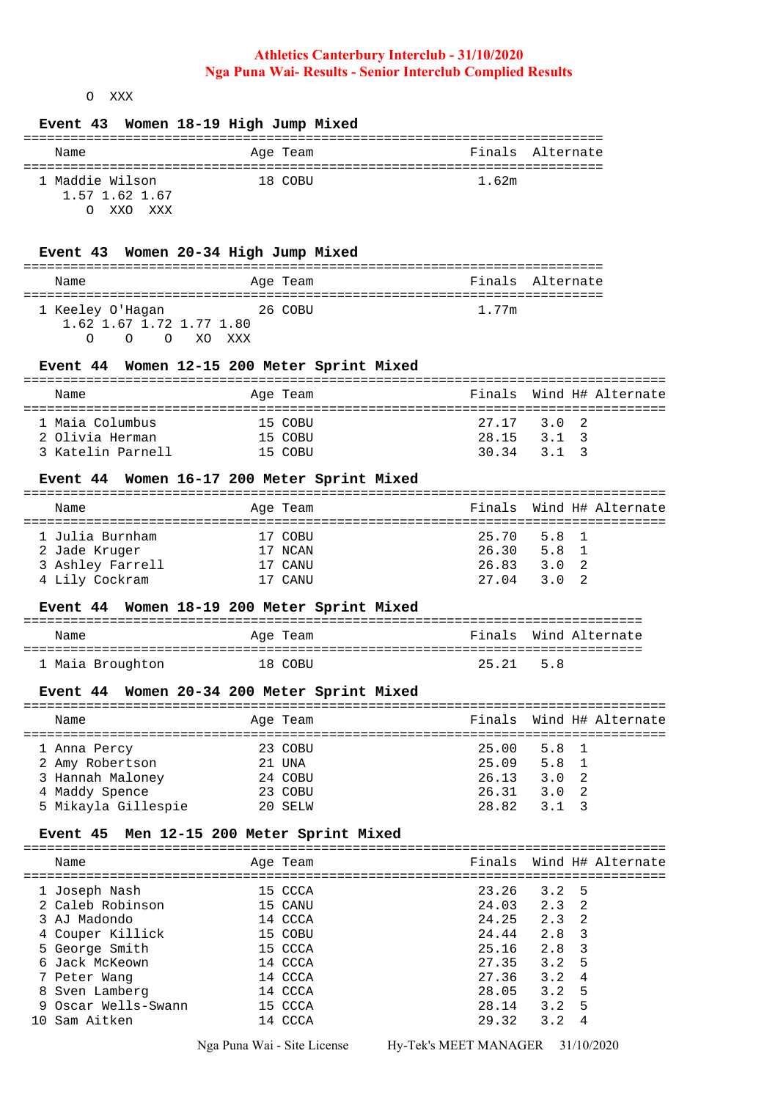# O XXX

## **Event 43 Women 18-19 High Jump Mixed**

| Name                                                      | Age Team | Finals Alternate |  |  |  |  |  |  |
|-----------------------------------------------------------|----------|------------------|--|--|--|--|--|--|
| 1 Maddie Wilson<br>1.57 1.62 1.67<br>XXO XXX<br>$\bigcap$ | 18 COBU  | 1.62m            |  |  |  |  |  |  |

### **Event 43 Women 20-34 High Jump Mixed**

| Name                     | Age Team | Finals Alternate |  |  |  |  |  |
|--------------------------|----------|------------------|--|--|--|--|--|
|                          |          |                  |  |  |  |  |  |
| 1 Keeley O'Hagan         | 26 COBU  | 1.77m            |  |  |  |  |  |
| 1.62 1.67 1.72 1.77 1.80 |          |                  |  |  |  |  |  |
| $\Omega$ $\Omega$        | XO XXX   |                  |  |  |  |  |  |

### **Event 44 Women 12-15 200 Meter Sprint Mixed**

| Name              | Age Team | Finals Wind H# Alternate |
|-------------------|----------|--------------------------|
|                   |          |                          |
| 1 Maia Columbus   | 15 COBU  | 27.17 3.0 2              |
| 2 Olivia Herman   | 15 COBU  | 28.15<br>3.1 3           |
| 3 Katelin Parnell | 15 COBII | 30.34<br>313             |

## **Event 44 Women 16-17 200 Meter Sprint Mixed**

| Name             | Age Team | Finals Wind H# Alternate |
|------------------|----------|--------------------------|
|                  |          |                          |
| 1 Julia Burnham  | 17 COBU  | 25.70 5.8 1              |
| 2 Jade Kruger    | 17 NCAN  | 26.30<br>5.8 1           |
| 3 Ashley Farrell | 17 CANU  | 26.83<br>3.0 2           |
| 4 Lily Cockram   | 17 CANU  | 27.04<br>$3.0 \quad 2$   |

## **Event 44 Women 18-19 200 Meter Sprint Mixed**

| Name             | Age Team | Finals Wind Alternate |
|------------------|----------|-----------------------|
| 1 Maia Broughton | 18 CORII | 25.21 5.8             |

### **Event 44 Women 20-34 200 Meter Sprint Mixed**

| Name                |  | Age Team |                 |               | Finals Wind H# Alternate |  |
|---------------------|--|----------|-----------------|---------------|--------------------------|--|
|                     |  |          |                 |               |                          |  |
| 1 Anna Percy        |  | 23 COBU  | $25.00$ $5.8$ 1 |               |                          |  |
| 2 Amy Robertson     |  | 21 UNA   | 25.09           | 5.8 1         |                          |  |
| 3 Hannah Maloney    |  | 24 COBU  | 26.13           | $3.0 \quad 2$ |                          |  |
| 4 Maddy Spence      |  | 23 COBU  | 26.31           | $3.0 \quad 2$ |                          |  |
| 5 Mikayla Gillespie |  | 20 SELW  | 28.82           | 313           |                          |  |

### **Event 45 Men 12-15 200 Meter Sprint Mixed**

| Name                              | Age Team           |                |                      | Finals Wind H# Alternate |
|-----------------------------------|--------------------|----------------|----------------------|--------------------------|
| 1 Joseph Nash<br>2 Caleb Robinson | 15 CCCA<br>15 CANU | 23.26<br>24.03 | $3.2 \quad 5$<br>2.3 | - 2.                     |
| 3 AJ Madondo                      | 14 CCCA            | 24.25          | 2.3                  | - 2                      |
| 4 Couper Killick                  | 15 COBU            | 24.44          | 2.8                  | - 3                      |
| 5 George Smith                    | 15 CCCA            | 25.16          | 2.8                  | - 3                      |
| 6 Jack McKeown                    | 14 CCCA            | 27.35          | 3.2                  | -5                       |
| 7 Peter Wang                      | 14 CCCA            | 27.36          | 3.2                  | $\overline{4}$           |
| 8 Sven Lamberg                    | 14 CCCA            | 28.05          | $3.2 \quad 5$        |                          |
| 9 Oscar Wells-Swann               | 15 CCCA            | 28.14          | 3.2                  | .5                       |
| 10 Sam Aitken                     | 14 CCCA            | 29.32          | 3.2                  | 4                        |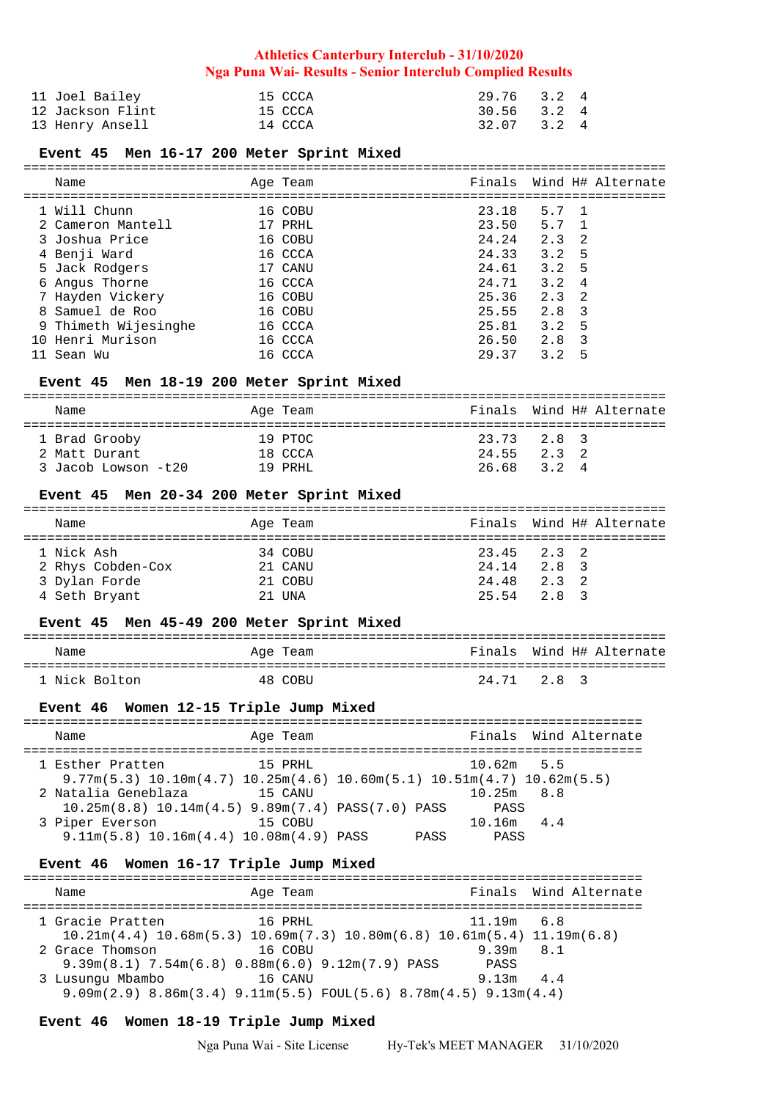| 11 Joel Bailey   | 15 CCCA | 29.76 3.2 4 |  |
|------------------|---------|-------------|--|
| 12 Jackson Flint | 15 CCCA | 30.56 3.2 4 |  |
| 13 Henry Ansell  | 14 CCCA | 32.07 3.2 4 |  |

### **Event 45 Men 16-17 200 Meter Sprint Mixed**

| Name                 | Age Team |       |               | Finals Wind H# Alternate |
|----------------------|----------|-------|---------------|--------------------------|
| 1 Will Chunn         | 16 COBU  | 23.18 | 5.7 1         |                          |
| 2 Cameron Mantell    | 17 PRHL  | 23.50 | 5.7 1         |                          |
| 3 Joshua Price       | 16 COBU  | 24.24 | 2.3           | - 2.                     |
| 4 Benji Ward         | 16 CCCA  | 24.33 | 3.2           | -5                       |
| 5 Jack Rodgers       | 17 CANU  | 24.61 | $3.2 \quad 5$ |                          |
| 6 Angus Thorne       | 16 CCCA  | 24.71 | 3.2           | $\overline{4}$           |
| 7 Hayden Vickery     | 16 COBU  | 25.36 | 2.3           | - 2.                     |
| 8 Samuel de Roo      | 16 COBU  | 25.55 | 2.8           | 3                        |
| 9 Thimeth Wijesinghe | 16 CCCA  | 25.81 | 3.2           | -5                       |
| 10 Henri Murison     | 16 CCCA  | 26.50 | 2.8           | $\mathcal{R}$            |
| 11 Sean Wu           | 16 CCCA  | 29.37 | 3.2           | 5                        |

# **Event 45 Men 18-19 200 Meter Sprint Mixed**

| Name                                                  | Age Team                       | Finals Wind H# Alternate                       |
|-------------------------------------------------------|--------------------------------|------------------------------------------------|
| 1 Brad Grooby<br>2 Matt Durant<br>3 Jacob Lowson -t20 | 19 PTOC<br>18 CCCA<br>19 PRHI. | 23.73 2.8 3<br>$2.3$ 2<br>24 55<br>26.68 3.2 4 |

# **Event 45 Men 20-34 200 Meter Sprint Mixed**

| Name              | Age Team |       |                 | Finals Wind H# Alternate |
|-------------------|----------|-------|-----------------|--------------------------|
|                   |          |       |                 |                          |
| 1 Nick Ash        | 34 COBU  |       | $23.45$ $2.3$ 2 |                          |
| 2 Rhys Cobden-Cox | 21 CANU  | 24.14 | 2.8 3           |                          |
| 3 Dylan Forde     | 21 COBU  |       | 24.48 2.3 2     |                          |
| 4 Seth Bryant     | 21 UNA   |       | 25.54 2.8 3     |                          |

### **Event 45 Men 45-49 200 Meter Sprint Mixed**

| Name          | Age Team | Finals Wind H# Alternate |
|---------------|----------|--------------------------|
| 1 Nick Bolton | 48 COBII | 24.71 2.8 3              |

### **Event 46 Women 12-15 Triple Jump Mixed**

| Name                                                                                     | Age Team |             |              | Finals Wind Alternate |
|------------------------------------------------------------------------------------------|----------|-------------|--------------|-----------------------|
|                                                                                          |          |             |              |                       |
| 1 Esther Pratten                                                                         | 15 PRHL  |             | $10.62m$ 5.5 |                       |
| $9.77$ m(5.3) $10.10$ m(4.7) $10.25$ m(4.6) $10.60$ m(5.1) $10.51$ m(4.7) $10.62$ m(5.5) |          |             |              |                       |
| 2 Natalia Geneblaza                                                                      | 15 CANII |             | 10.25m 8.8   |                       |
| $10.25m(8.8)$ $10.14m(4.5)$ $9.89m(7.4)$ $PASS(7.0)$ $PASS$                              |          |             | PASS         |                       |
| 3 Piper Everson                                                                          | 15 COBU  |             | $10.16m$ 4.4 |                       |
| $9.11m(5.8)$ $10.16m(4.4)$ $10.08m(4.9)$ PASS                                            |          | <b>PASS</b> | PASS         |                       |

# **Event 46 Women 16-17 Triple Jump Mixed**

| Name             | Age Team                                                                                                          |                     | Finals Wind Alternate |
|------------------|-------------------------------------------------------------------------------------------------------------------|---------------------|-----------------------|
| 1 Gracie Pratten | 16 PRHL<br>$10.21m(4.4)$ $10.68m(5.3)$ $10.69m(7.3)$ $10.80m(6.8)$ $10.61m(5.4)$ $11.19m(6.8)$                    | $11.19m$ 6.8        |                       |
| 2 Grace Thomson  | 16 COBU                                                                                                           | $9.39m$ $8.1$       |                       |
| 3 Lusungu Mbambo | $9.39m(8.1)$ 7.54 $m(6.8)$ 0.88 $m(6.0)$ 9.12 $m(7.9)$ PASS<br>16 CANU                                            | PASS<br>$9.13m$ 4.4 |                       |
|                  | $9.09\text{m}(2.9)$ 8.86 $\text{m}(3.4)$ 9.11 $\text{m}(5.5)$ FOUL(5.6) 8.78 $\text{m}(4.5)$ 9.13 $\text{m}(4.4)$ |                     |                       |

### **Event 46 Women 18-19 Triple Jump Mixed**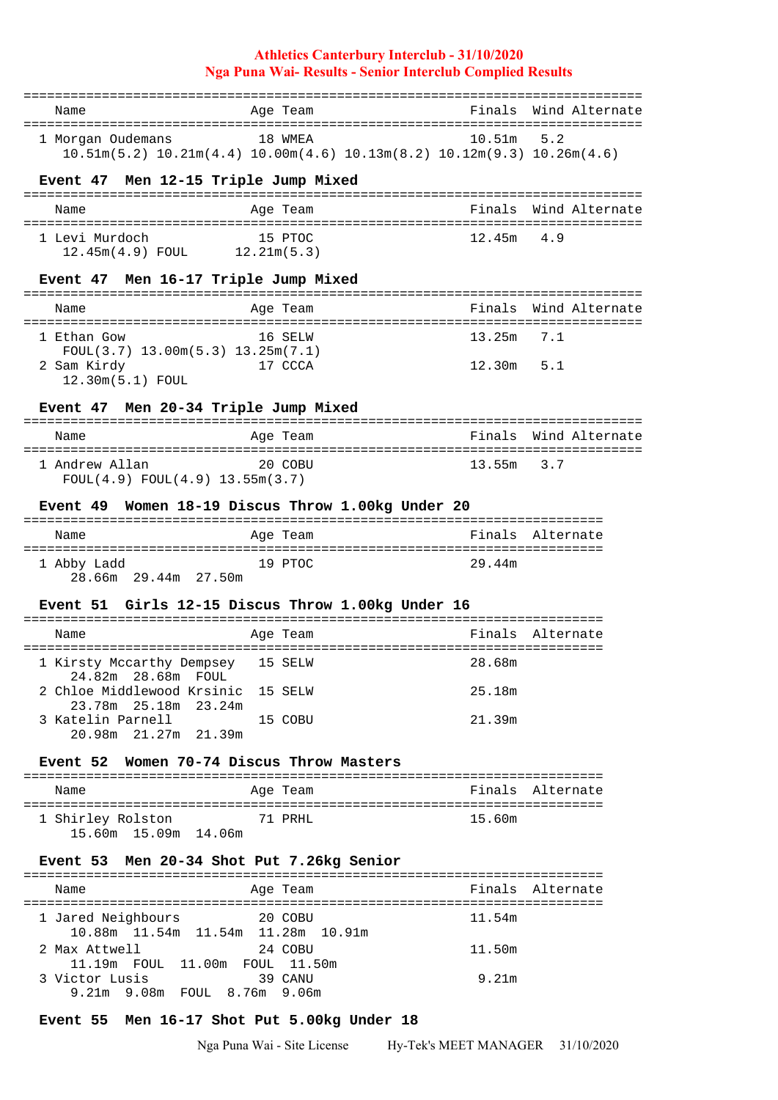|                                                                                             |                                                                                                | =================== |                       |
|---------------------------------------------------------------------------------------------|------------------------------------------------------------------------------------------------|---------------------|-----------------------|
| Name                                                                                        | Age Team                                                                                       | Finals              | Wind Alternate        |
| 1 Morgan Oudemans                                                                           | 18 WMEA<br>$10.51m(5.2)$ $10.21m(4.4)$ $10.00m(4.6)$ $10.13m(8.2)$ $10.12m(9.3)$ $10.26m(4.6)$ | 10.51m              | 5.2                   |
| Men 12-15 Triple Jump Mixed<br>Event 47                                                     |                                                                                                |                     |                       |
| Name                                                                                        | Age Team                                                                                       | Finals              | Wind Alternate        |
| 1 Levi Murdoch<br>12.45m(4.9) FOUL 12.21m(5.3)                                              | 15 PTOC                                                                                        | 12.45m              | 4.9                   |
| Event 47 Men 16-17 Triple Jump Mixed                                                        |                                                                                                |                     |                       |
| -------------------------------<br>Name                                                     | ----------<br>Age Team                                                                         | Finals              | Wind Alternate        |
| 1 Ethan Gow                                                                                 | 16 SELW                                                                                        | 13.25m              | 7.1                   |
| $FOUL(3.7)$ 13.00m $(5.3)$ 13.25m $(7.1)$<br>2 Sam Kirdy<br>12.30m(5.1) FOUL                | 17 CCCA                                                                                        | 12.30m              | 5.1                   |
| Event 47 Men 20-34 Triple Jump Mixed                                                        |                                                                                                |                     |                       |
| Name                                                                                        | Age Team                                                                                       | Finals              | Wind Alternate        |
| ======================================<br>1 Andrew Allan<br>FOUL(4.9) FOUL(4.9) 13.55m(3.7) | 20 COBU                                                                                        | 13.55m              | --------------<br>3.7 |
|                                                                                             | Event 49 Women 18-19 Discus Throw 1.00kg Under 20                                              |                     |                       |
|                                                                                             |                                                                                                |                     | Finals Alternate      |
| Name                                                                                        | Age Team                                                                                       |                     |                       |
| 1 Abby Ladd<br>28.66m 29.44m 27.50m                                                         | 19 PTOC                                                                                        | 29.44m              |                       |
|                                                                                             | Event 51 Girls 12-15 Discus Throw 1.00kg Under 16<br>-------------------                       | ------------------- |                       |
| Name                                                                                        | Age Team                                                                                       | Finals              | Alternate             |
| 1 Kirsty Mccarthy Dempsey 15 SELW                                                           |                                                                                                | 28.68m              |                       |
| 2 Chloe Middlewood Krsinic 15 SELW<br>23.78m  25.18m  23.24m                                |                                                                                                | 25.18m              |                       |
| 3 Katelin Parnell<br>20.98m 21.27m 21.39m                                                   | 15 COBU                                                                                        | 21.39m              |                       |
| Event 52 Women 70-74 Discus Throw Masters                                                   |                                                                                                |                     |                       |
| Name                                                                                        | Age Team                                                                                       |                     | Finals Alternate      |
| 1 Shirley Rolston<br>15.60m  15.09m  14.06m                                                 | 71 PRHL                                                                                        | 15.60m              |                       |
| Event 53 Men 20-34 Shot Put 7.26kg Senior                                                   |                                                                                                |                     |                       |
| Name                                                                                        | Age Team                                                                                       |                     | Finals Alternate      |
| 1 Jared Neighbours                                                                          | 20 COBU                                                                                        | 11.54m              |                       |
| 10.88m 11.54m 11.54m 11.28m 10.91m                                                          |                                                                                                |                     |                       |
| 2 Max Attwell<br>11.19m FOUL 11.00m FOUL 11.50m                                             | 24 COBU                                                                                        | 11.50m              |                       |
| 3 Victor Lusis                                                                              | 39 CANU                                                                                        | 9.21m               |                       |

9.21m 9.08m FOUL 8.76m 9.06m

# **Event 55 Men 16-17 Shot Put 5.00kg Under 18**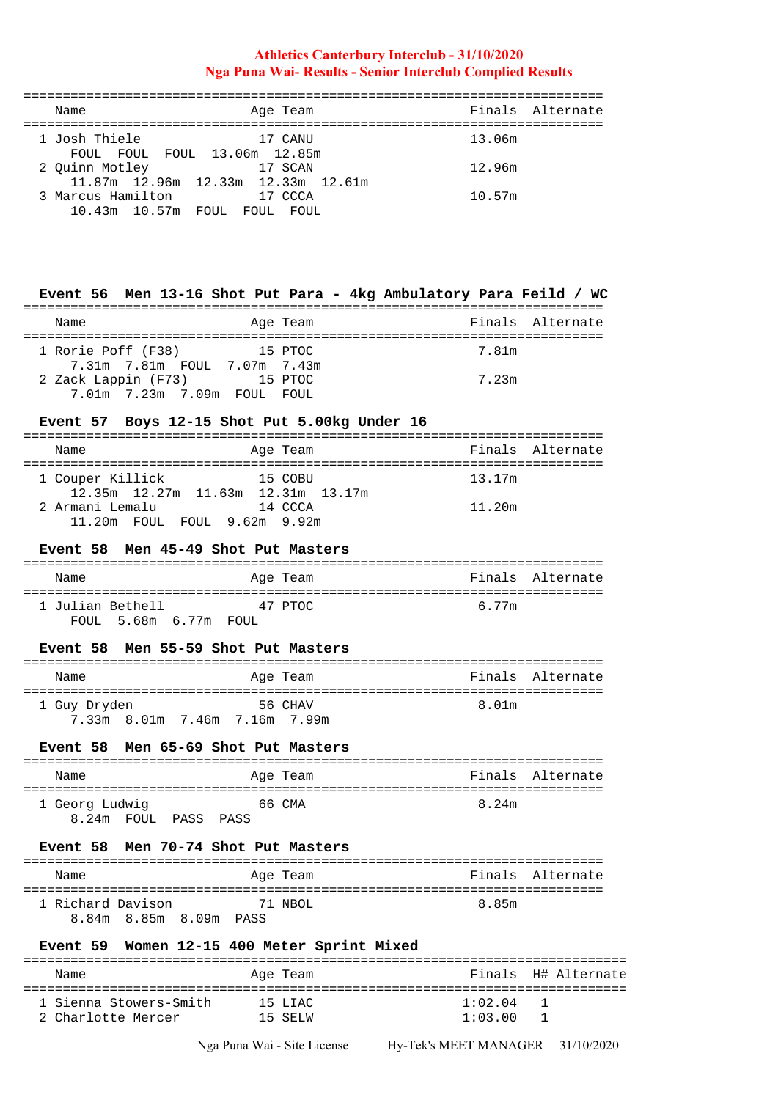| Name                                    | Age Team                                      | Finals Alternate |
|-----------------------------------------|-----------------------------------------------|------------------|
| 1 Josh Thiele                           | 17 CANU<br>FOUL FOUL FOUL 13.06m 12.85m       | 13.06m           |
| 2 Ouinn Motley                          | 17 SCAN<br>11.87m 12.96m 12.33m 12.33m 12.61m | 12.96m           |
| 3 Marcus Hamilton<br>10.43m 10.57m FOUL | 17 CCCA<br>FOUL<br>FOUL.                      | 10.57m           |

# **Event 56 Men 13-16 Shot Put Para - 4kg Ambulatory Para Feild / WC**

| Name                         |       | Age Team | Finals Alternate |
|------------------------------|-------|----------|------------------|
|                              |       |          |                  |
| 1 Rorie Poff (F38)           |       | 15 PTOC  | 7.81m            |
| 7.31m 7.81m FOUL 7.07m 7.43m |       |          |                  |
| 2 Zack Lappin (F73)          |       | 15 PTOC  | 7.23m            |
| $7.01m$ $7.23m$ $7.09m$      | FOUL. | FOIII.   |                  |

### **Event 57 Boys 12-15 Shot Put 5.00kg Under 16**

| Name                         | Age Team                                     | Finals Alternate |
|------------------------------|----------------------------------------------|------------------|
|                              |                                              |                  |
| 1 Couper Killick             | 15 COBU                                      | 13.17m           |
|                              | $12.35m$ $12.27m$ $11.63m$ $12.31m$ $13.17m$ |                  |
| 2 Armani Lemalu              | 14 CCCA                                      | 11.20m           |
| 11.20m FOUL FOUL 9.62m 9.92m |                                              |                  |

### **Event 58 Men 45-49 Shot Put Masters**

| Name             |                       |  | Age Team | Finals Alternate |
|------------------|-----------------------|--|----------|------------------|
| 1 Julian Bethell |                       |  | 47 PTOC  | 6.77m            |
|                  | FOUL 5.68m 6.77m FOUL |  |          |                  |

# **Event 58 Men 55-59 Shot Put Masters**

| Name                          | Age Team | Finals Alternate |
|-------------------------------|----------|------------------|
| 1 Guy Dryden                  | 56 CHAV  | 8.01m            |
| 7.33m 8.01m 7.46m 7.16m 7.99m |          |                  |

## **Event 58 Men 65-69 Shot Put Masters**

|  | Name                 |  |  |  |  | Age Team |  |       | Finals Alternate |
|--|----------------------|--|--|--|--|----------|--|-------|------------------|
|  | 1 Georg Ludwig       |  |  |  |  | 66 CMA   |  | 8.24m |                  |
|  | 8.24m FOUL PASS PASS |  |  |  |  |          |  |       |                  |

### **Event 58 Men 70-74 Shot Put Masters**

| Name                                        | Age Team | Finals Alternate |
|---------------------------------------------|----------|------------------|
| 1 Richard Davison<br>8.84m 8.85m 8.09m PASS | 71 NBOL  | 8.85m            |

# **Event 59 Women 12-15 400 Meter Sprint Mixed**

| Name                   | Age Team | Finals H# Alternate |
|------------------------|----------|---------------------|
| 1 Sienna Stowers-Smith | 15 LIAC  | 1:02.04             |
| 2 Charlotte Mercer     | 15 SELM  | 1:03.00             |